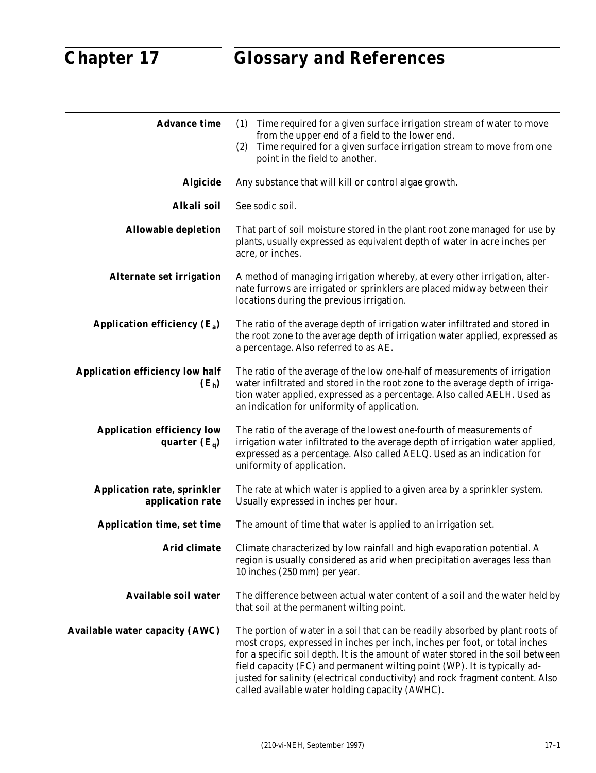| <b>Advance time</b>                                    | Time required for a given surface irrigation stream of water to move<br>(1)<br>from the upper end of a field to the lower end.<br>Time required for a given surface irrigation stream to move from one<br>(2)<br>point in the field to another.                                                                                                                                                                                                                 |
|--------------------------------------------------------|-----------------------------------------------------------------------------------------------------------------------------------------------------------------------------------------------------------------------------------------------------------------------------------------------------------------------------------------------------------------------------------------------------------------------------------------------------------------|
| <b>Algicide</b>                                        | Any substance that will kill or control algae growth.                                                                                                                                                                                                                                                                                                                                                                                                           |
| Alkali soil                                            | See sodic soil.                                                                                                                                                                                                                                                                                                                                                                                                                                                 |
| <b>Allowable depletion</b>                             | That part of soil moisture stored in the plant root zone managed for use by<br>plants, usually expressed as equivalent depth of water in acre inches per<br>acre, or inches.                                                                                                                                                                                                                                                                                    |
| <b>Alternate set irrigation</b>                        | A method of managing irrigation whereby, at every other irrigation, alter-<br>nate furrows are irrigated or sprinklers are placed midway between their<br>locations during the previous irrigation.                                                                                                                                                                                                                                                             |
| Application efficiency $(E_a)$                         | The ratio of the average depth of irrigation water infiltrated and stored in<br>the root zone to the average depth of irrigation water applied, expressed as<br>a percentage. Also referred to as AE.                                                                                                                                                                                                                                                           |
| <b>Application efficiency low half</b><br>$(E_h)$      | The ratio of the average of the low one-half of measurements of irrigation<br>water infiltrated and stored in the root zone to the average depth of irriga-<br>tion water applied, expressed as a percentage. Also called AELH. Used as<br>an indication for uniformity of application.                                                                                                                                                                         |
| <b>Application efficiency low</b><br>quarter $(E_q)$   | The ratio of the average of the lowest one-fourth of measurements of<br>irrigation water infiltrated to the average depth of irrigation water applied,<br>expressed as a percentage. Also called AELQ. Used as an indication for<br>uniformity of application.                                                                                                                                                                                                  |
| <b>Application rate, sprinkler</b><br>application rate | The rate at which water is applied to a given area by a sprinkler system.<br>Usually expressed in inches per hour.                                                                                                                                                                                                                                                                                                                                              |
| <b>Application time, set time</b>                      | The amount of time that water is applied to an irrigation set.                                                                                                                                                                                                                                                                                                                                                                                                  |
| <b>Arid climate</b>                                    | Climate characterized by low rainfall and high evaporation potential. A<br>region is usually considered as arid when precipitation averages less than<br>10 inches (250 mm) per year.                                                                                                                                                                                                                                                                           |
| <b>Available soil water</b>                            | The difference between actual water content of a soil and the water held by<br>that soil at the permanent wilting point.                                                                                                                                                                                                                                                                                                                                        |
| <b>Available water capacity (AWC)</b>                  | The portion of water in a soil that can be readily absorbed by plant roots of<br>most crops, expressed in inches per inch, inches per foot, or total inches<br>for a specific soil depth. It is the amount of water stored in the soil between<br>field capacity (FC) and permanent wilting point (WP). It is typically ad-<br>justed for salinity (electrical conductivity) and rock fragment content. Also<br>called available water holding capacity (AWHC). |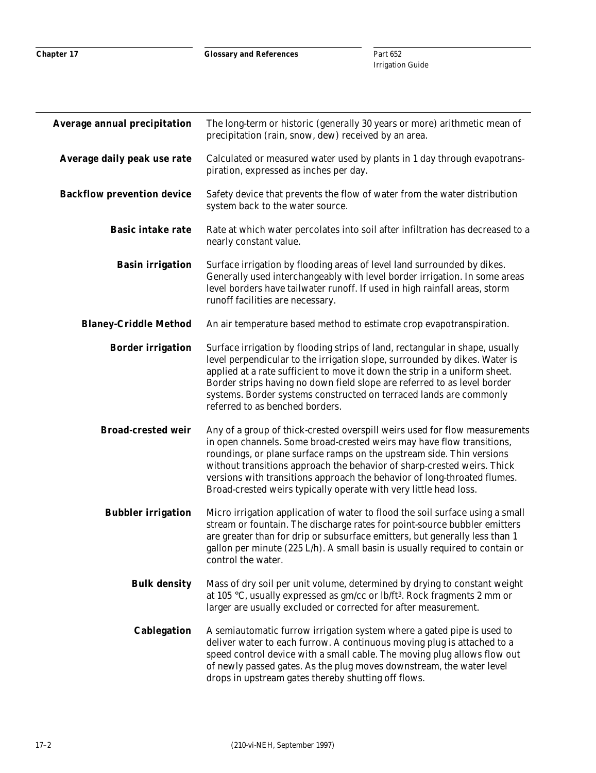| <b>Average annual precipitation</b> | The long-term or historic (generally 30 years or more) arithmetic mean of<br>precipitation (rain, snow, dew) received by an area.                                                                                                                                                                                                                                                                                                                        |
|-------------------------------------|----------------------------------------------------------------------------------------------------------------------------------------------------------------------------------------------------------------------------------------------------------------------------------------------------------------------------------------------------------------------------------------------------------------------------------------------------------|
| Average daily peak use rate         | Calculated or measured water used by plants in 1 day through evapotrans-<br>piration, expressed as inches per day.                                                                                                                                                                                                                                                                                                                                       |
| <b>Backflow prevention device</b>   | Safety device that prevents the flow of water from the water distribution<br>system back to the water source.                                                                                                                                                                                                                                                                                                                                            |
| <b>Basic intake rate</b>            | Rate at which water percolates into soil after infiltration has decreased to a<br>nearly constant value.                                                                                                                                                                                                                                                                                                                                                 |
| <b>Basin irrigation</b>             | Surface irrigation by flooding areas of level land surrounded by dikes.<br>Generally used interchangeably with level border irrigation. In some areas<br>level borders have tailwater runoff. If used in high rainfall areas, storm<br>runoff facilities are necessary.                                                                                                                                                                                  |
| <b>Blaney-Criddle Method</b>        | An air temperature based method to estimate crop evapotranspiration.                                                                                                                                                                                                                                                                                                                                                                                     |
| <b>Border irrigation</b>            | Surface irrigation by flooding strips of land, rectangular in shape, usually<br>level perpendicular to the irrigation slope, surrounded by dikes. Water is<br>applied at a rate sufficient to move it down the strip in a uniform sheet.<br>Border strips having no down field slope are referred to as level border<br>systems. Border systems constructed on terraced lands are commonly<br>referred to as benched borders.                            |
| <b>Broad-crested weir</b>           | Any of a group of thick-crested overspill weirs used for flow measurements<br>in open channels. Some broad-crested weirs may have flow transitions,<br>roundings, or plane surface ramps on the upstream side. Thin versions<br>without transitions approach the behavior of sharp-crested weirs. Thick<br>versions with transitions approach the behavior of long-throated flumes.<br>Broad-crested weirs typically operate with very little head loss. |
| <b>Bubbler irrigation</b>           | Micro irrigation application of water to flood the soil surface using a small<br>stream or fountain. The discharge rates for point-source bubbler emitters<br>are greater than for drip or subsurface emitters, but generally less than 1<br>gallon per minute (225 L/h). A small basin is usually required to contain or<br>control the water.                                                                                                          |
| <b>Bulk density</b>                 | Mass of dry soil per unit volume, determined by drying to constant weight<br>at 105 °C, usually expressed as gm/cc or lb/ft <sup>3</sup> . Rock fragments 2 mm or<br>larger are usually excluded or corrected for after measurement.                                                                                                                                                                                                                     |
| <b>Cablegation</b>                  | A semiautomatic furrow irrigation system where a gated pipe is used to<br>deliver water to each furrow. A continuous moving plug is attached to a<br>speed control device with a small cable. The moving plug allows flow out<br>of newly passed gates. As the plug moves downstream, the water level<br>drops in upstream gates thereby shutting off flows.                                                                                             |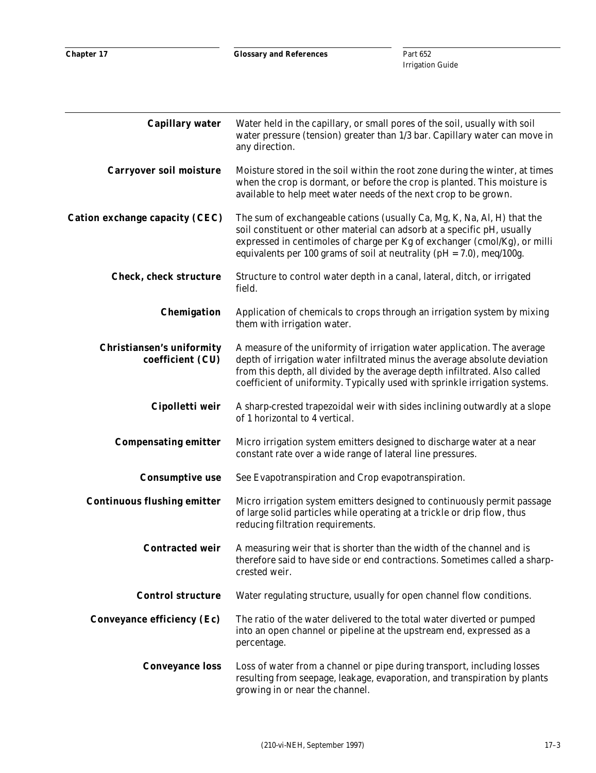| <b>Capillary water</b>                               | Water held in the capillary, or small pores of the soil, usually with soil<br>water pressure (tension) greater than 1/3 bar. Capillary water can move in<br>any direction.                                                                                                                                          |
|------------------------------------------------------|---------------------------------------------------------------------------------------------------------------------------------------------------------------------------------------------------------------------------------------------------------------------------------------------------------------------|
| <b>Carryover soil moisture</b>                       | Moisture stored in the soil within the root zone during the winter, at times<br>when the crop is dormant, or before the crop is planted. This moisture is<br>available to help meet water needs of the next crop to be grown.                                                                                       |
| <b>Cation exchange capacity (CEC)</b>                | The sum of exchangeable cations (usually Ca, Mg, K, Na, Al, H) that the<br>soil constituent or other material can adsorb at a specific pH, usually<br>expressed in centimoles of charge per Kg of exchanger (cmol/Kg), or milli<br>equivalents per 100 grams of soil at neutrality ( $pH = 7.0$ ), meq/100g.        |
| <b>Check, check structure</b>                        | Structure to control water depth in a canal, lateral, ditch, or irrigated<br>field.                                                                                                                                                                                                                                 |
| Chemigation                                          | Application of chemicals to crops through an irrigation system by mixing<br>them with irrigation water.                                                                                                                                                                                                             |
| <b>Christiansen's uniformity</b><br>coefficient (CU) | A measure of the uniformity of irrigation water application. The average<br>depth of irrigation water infiltrated minus the average absolute deviation<br>from this depth, all divided by the average depth infiltrated. Also called<br>coefficient of uniformity. Typically used with sprinkle irrigation systems. |
| Cipolletti weir                                      | A sharp-crested trapezoidal weir with sides inclining outwardly at a slope<br>of 1 horizontal to 4 vertical.                                                                                                                                                                                                        |
| <b>Compensating emitter</b>                          | Micro irrigation system emitters designed to discharge water at a near<br>constant rate over a wide range of lateral line pressures.                                                                                                                                                                                |
| <b>Consumptive use</b>                               | See Evapotranspiration and Crop evapotranspiration.                                                                                                                                                                                                                                                                 |
| <b>Continuous flushing emitter</b>                   | Micro irrigation system emitters designed to continuously permit passage<br>of large solid particles while operating at a trickle or drip flow, thus<br>reducing filtration requirements.                                                                                                                           |
| <b>Contracted weir</b>                               | A measuring weir that is shorter than the width of the channel and is<br>therefore said to have side or end contractions. Sometimes called a sharp-<br>crested weir.                                                                                                                                                |
| <b>Control structure</b>                             | Water regulating structure, usually for open channel flow conditions.                                                                                                                                                                                                                                               |
| <b>Conveyance efficiency (Ec)</b>                    | The ratio of the water delivered to the total water diverted or pumped<br>into an open channel or pipeline at the upstream end, expressed as a<br>percentage.                                                                                                                                                       |
| <b>Conveyance loss</b>                               | Loss of water from a channel or pipe during transport, including losses<br>resulting from seepage, leakage, evaporation, and transpiration by plants<br>growing in or near the channel.                                                                                                                             |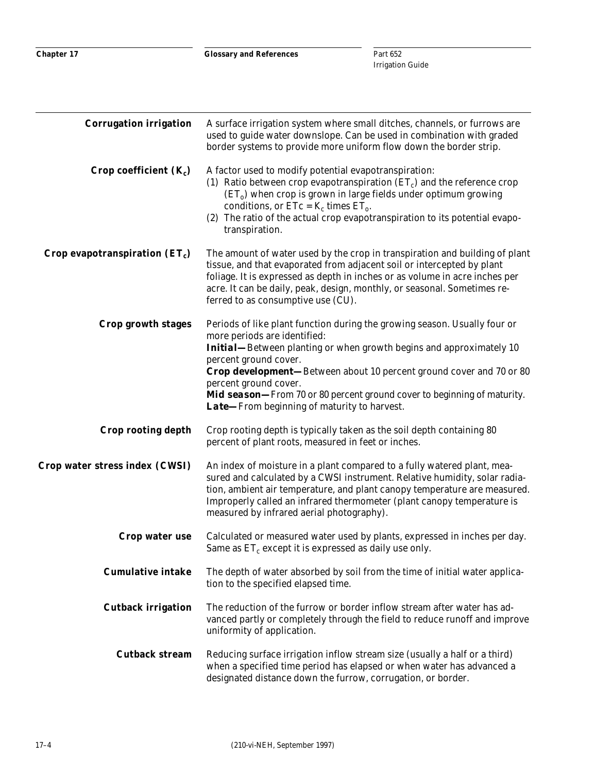| <b>Corrugation irrigation</b>    | A surface irrigation system where small ditches, channels, or furrows are<br>used to guide water downslope. Can be used in combination with graded<br>border systems to provide more uniform flow down the border strip.                                                                                                                                                                                                                                   |
|----------------------------------|------------------------------------------------------------------------------------------------------------------------------------------------------------------------------------------------------------------------------------------------------------------------------------------------------------------------------------------------------------------------------------------------------------------------------------------------------------|
| Crop coefficient $(K_c)$         | A factor used to modify potential evapotranspiration:<br>(1) Ratio between crop evapotranspiration $(ET_c)$ and the reference crop<br>$(ETo)$ when crop is grown in large fields under optimum growing<br>conditions, or $ETc = K_c$ times $ET_o$ .<br>(2) The ratio of the actual crop evapotranspiration to its potential evapo-<br>transpiration.                                                                                                       |
| Crop evapotranspiration $(ET_c)$ | The amount of water used by the crop in transpiration and building of plant<br>tissue, and that evaporated from adjacent soil or intercepted by plant<br>foliage. It is expressed as depth in inches or as volume in acre inches per<br>acre. It can be daily, peak, design, monthly, or seasonal. Sometimes re-<br>ferred to as consumptive use (CU).                                                                                                     |
| Crop growth stages               | Periods of like plant function during the growing season. Usually four or<br>more periods are identified:<br><b>Initial—Between planting or when growth begins and approximately 10</b><br>percent ground cover.<br><b>Crop development</b> —Between about 10 percent ground cover and 70 or 80<br>percent ground cover.<br><b>Mid season</b> —From 70 or 80 percent ground cover to beginning of maturity.<br>Late-From beginning of maturity to harvest. |
| <b>Crop rooting depth</b>        | Crop rooting depth is typically taken as the soil depth containing 80<br>percent of plant roots, measured in feet or inches.                                                                                                                                                                                                                                                                                                                               |
| Crop water stress index (CWSI)   | An index of moisture in a plant compared to a fully watered plant, mea-<br>sured and calculated by a CWSI instrument. Relative humidity, solar radia-<br>tion, ambient air temperature, and plant canopy temperature are measured.<br>Improperly called an infrared thermometer (plant canopy temperature is<br>measured by infrared aerial photography).                                                                                                  |
| Crop water use                   | Calculated or measured water used by plants, expressed in inches per day.<br>Same as $ET_c$ except it is expressed as daily use only.                                                                                                                                                                                                                                                                                                                      |
| <b>Cumulative intake</b>         | The depth of water absorbed by soil from the time of initial water applica-<br>tion to the specified elapsed time.                                                                                                                                                                                                                                                                                                                                         |
| <b>Cutback irrigation</b>        | The reduction of the furrow or border inflow stream after water has ad-<br>vanced partly or completely through the field to reduce runoff and improve<br>uniformity of application.                                                                                                                                                                                                                                                                        |
| <b>Cutback stream</b>            | Reducing surface irrigation inflow stream size (usually a half or a third)<br>when a specified time period has elapsed or when water has advanced a<br>designated distance down the furrow, corrugation, or border.                                                                                                                                                                                                                                        |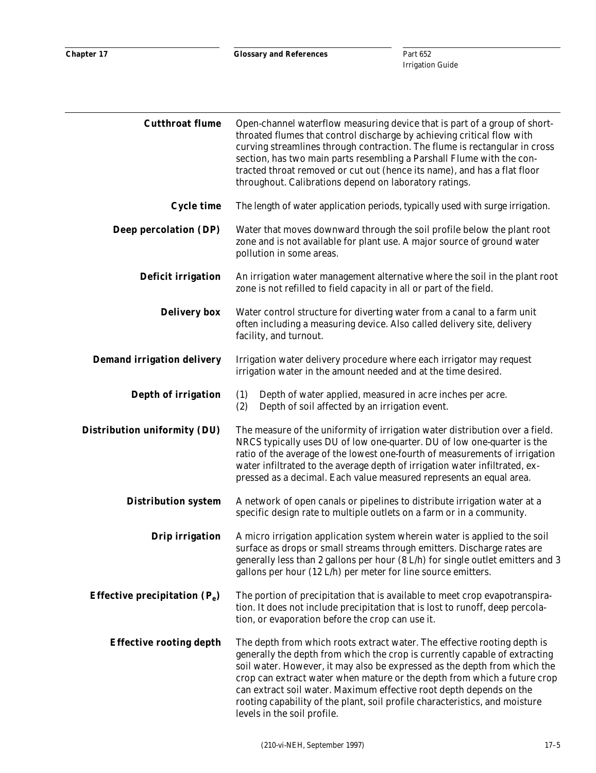| <b>Cutthroat flume</b>            | Open-channel waterflow measuring device that is part of a group of short-<br>throated flumes that control discharge by achieving critical flow with<br>curving streamlines through contraction. The flume is rectangular in cross<br>section, has two main parts resembling a Parshall Flume with the con-<br>tracted throat removed or cut out (hence its name), and has a flat floor<br>throughout. Calibrations depend on laboratory ratings.                                                     |
|-----------------------------------|------------------------------------------------------------------------------------------------------------------------------------------------------------------------------------------------------------------------------------------------------------------------------------------------------------------------------------------------------------------------------------------------------------------------------------------------------------------------------------------------------|
| <b>Cycle time</b>                 | The length of water application periods, typically used with surge irrigation.                                                                                                                                                                                                                                                                                                                                                                                                                       |
| Deep percolation (DP)             | Water that moves downward through the soil profile below the plant root<br>zone and is not available for plant use. A major source of ground water<br>pollution in some areas.                                                                                                                                                                                                                                                                                                                       |
| <b>Deficit irrigation</b>         | An irrigation water management alternative where the soil in the plant root<br>zone is not refilled to field capacity in all or part of the field.                                                                                                                                                                                                                                                                                                                                                   |
| <b>Delivery box</b>               | Water control structure for diverting water from a canal to a farm unit<br>often including a measuring device. Also called delivery site, delivery<br>facility, and turnout.                                                                                                                                                                                                                                                                                                                         |
| <b>Demand irrigation delivery</b> | Irrigation water delivery procedure where each irrigator may request<br>irrigation water in the amount needed and at the time desired.                                                                                                                                                                                                                                                                                                                                                               |
| Depth of irrigation               | (1)<br>Depth of water applied, measured in acre inches per acre.<br>(2)<br>Depth of soil affected by an irrigation event.                                                                                                                                                                                                                                                                                                                                                                            |
| Distribution uniformity (DU)      | The measure of the uniformity of irrigation water distribution over a field.<br>NRCS typically uses DU of low one-quarter. DU of low one-quarter is the<br>ratio of the average of the lowest one-fourth of measurements of irrigation<br>water infiltrated to the average depth of irrigation water infiltrated, ex-<br>pressed as a decimal. Each value measured represents an equal area.                                                                                                         |
| <b>Distribution system</b>        | A network of open canals or pipelines to distribute irrigation water at a<br>specific design rate to multiple outlets on a farm or in a community.                                                                                                                                                                                                                                                                                                                                                   |
| <b>Drip irrigation</b>            | A micro irrigation application system wherein water is applied to the soil<br>surface as drops or small streams through emitters. Discharge rates are<br>generally less than 2 gallons per hour (8 L/h) for single outlet emitters and 3<br>gallons per hour (12 L/h) per meter for line source emitters.                                                                                                                                                                                            |
| Effective precipitation $(P_e)$   | The portion of precipitation that is available to meet crop evapotranspira-<br>tion. It does not include precipitation that is lost to runoff, deep percola-<br>tion, or evaporation before the crop can use it.                                                                                                                                                                                                                                                                                     |
| <b>Effective rooting depth</b>    | The depth from which roots extract water. The effective rooting depth is<br>generally the depth from which the crop is currently capable of extracting<br>soil water. However, it may also be expressed as the depth from which the<br>crop can extract water when mature or the depth from which a future crop<br>can extract soil water. Maximum effective root depth depends on the<br>rooting capability of the plant, soil profile characteristics, and moisture<br>levels in the soil profile. |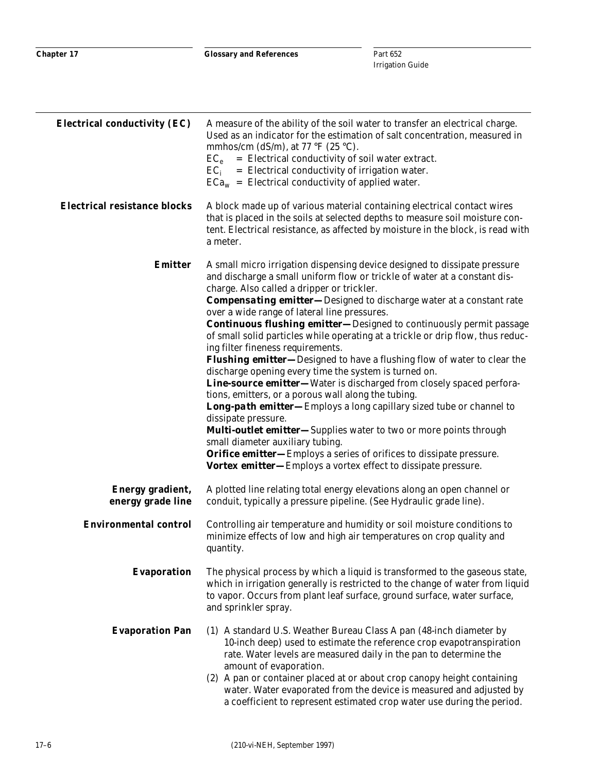| <b>Electrical conductivity (EC)</b>   | A measure of the ability of the soil water to transfer an electrical charge.<br>Used as an indicator for the estimation of salt concentration, measured in<br>mmhos/cm (dS/m), at 77 °F (25 °C).<br>= Electrical conductivity of soil water extract.<br>$EC_e$<br>$=$ Electrical conductivity of irrigation water.<br>$EC_i$<br>$ECa_w = Electrical conductivity of applied water.$                                                                                                                                                                                                                                                                                                                                                                                                                                                                                                                                                                                                                                                                                                                                                                                              |
|---------------------------------------|----------------------------------------------------------------------------------------------------------------------------------------------------------------------------------------------------------------------------------------------------------------------------------------------------------------------------------------------------------------------------------------------------------------------------------------------------------------------------------------------------------------------------------------------------------------------------------------------------------------------------------------------------------------------------------------------------------------------------------------------------------------------------------------------------------------------------------------------------------------------------------------------------------------------------------------------------------------------------------------------------------------------------------------------------------------------------------------------------------------------------------------------------------------------------------|
| <b>Electrical resistance blocks</b>   | A block made up of various material containing electrical contact wires<br>that is placed in the soils at selected depths to measure soil moisture con-<br>tent. Electrical resistance, as affected by moisture in the block, is read with<br>a meter.                                                                                                                                                                                                                                                                                                                                                                                                                                                                                                                                                                                                                                                                                                                                                                                                                                                                                                                           |
| <b>Emitter</b>                        | A small micro irrigation dispensing device designed to dissipate pressure<br>and discharge a small uniform flow or trickle of water at a constant dis-<br>charge. Also called a dripper or trickler.<br><b>Compensating emitter-Designed to discharge water at a constant rate</b><br>over a wide range of lateral line pressures.<br><b>Continuous flushing emitter-Designed to continuously permit passage</b><br>of small solid particles while operating at a trickle or drip flow, thus reduc-<br>ing filter fineness requirements.<br><b>Flushing emitter</b> —Designed to have a flushing flow of water to clear the<br>discharge opening every time the system is turned on.<br>Line-source emitter-Water is discharged from closely spaced perfora-<br>tions, emitters, or a porous wall along the tubing.<br>Long-path emitter—Employs a long capillary sized tube or channel to<br>dissipate pressure.<br><b>Multi-outlet emitter—Supplies water to two or more points through</b><br>small diameter auxiliary tubing.<br><b>Orifice emitter—Employs a series of orifices to dissipate pressure.</b><br>Vortex emitter-Employs a vortex effect to dissipate pressure. |
| Energy gradient,<br>energy grade line | A plotted line relating total energy elevations along an open channel or<br>conduit, typically a pressure pipeline. (See Hydraulic grade line).                                                                                                                                                                                                                                                                                                                                                                                                                                                                                                                                                                                                                                                                                                                                                                                                                                                                                                                                                                                                                                  |
| <b>Environmental control</b>          | Controlling air temperature and humidity or soil moisture conditions to<br>minimize effects of low and high air temperatures on crop quality and<br>quantity.                                                                                                                                                                                                                                                                                                                                                                                                                                                                                                                                                                                                                                                                                                                                                                                                                                                                                                                                                                                                                    |
| <b>Evaporation</b>                    | The physical process by which a liquid is transformed to the gaseous state,<br>which in irrigation generally is restricted to the change of water from liquid<br>to vapor. Occurs from plant leaf surface, ground surface, water surface,<br>and sprinkler spray.                                                                                                                                                                                                                                                                                                                                                                                                                                                                                                                                                                                                                                                                                                                                                                                                                                                                                                                |
| <b>Evaporation Pan</b>                | (1) A standard U.S. Weather Bureau Class A pan (48-inch diameter by<br>10-inch deep) used to estimate the reference crop evapotranspiration<br>rate. Water levels are measured daily in the pan to determine the<br>amount of evaporation.<br>(2) A pan or container placed at or about crop canopy height containing<br>water. Water evaporated from the device is measured and adjusted by<br>a coefficient to represent estimated crop water use during the period.                                                                                                                                                                                                                                                                                                                                                                                                                                                                                                                                                                                                                                                                                                           |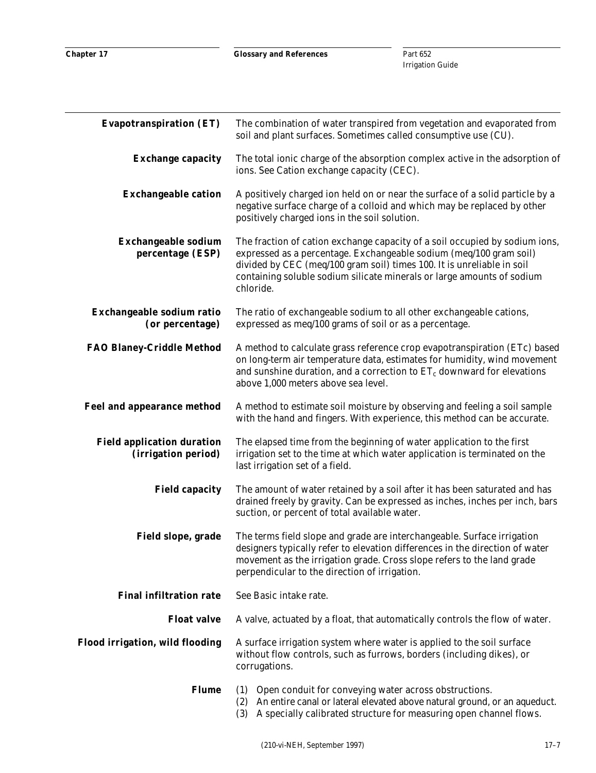| <b>Evapotranspiration (ET)</b>                           | The combination of water transpired from vegetation and evaporated from<br>soil and plant surfaces. Sometimes called consumptive use (CU).                                                                                                                                                                         |
|----------------------------------------------------------|--------------------------------------------------------------------------------------------------------------------------------------------------------------------------------------------------------------------------------------------------------------------------------------------------------------------|
| <b>Exchange capacity</b>                                 | The total ionic charge of the absorption complex active in the adsorption of<br>ions. See Cation exchange capacity (CEC).                                                                                                                                                                                          |
| <b>Exchangeable cation</b>                               | A positively charged ion held on or near the surface of a solid particle by a<br>negative surface charge of a colloid and which may be replaced by other<br>positively charged ions in the soil solution.                                                                                                          |
| <b>Exchangeable sodium</b><br>percentage (ESP)           | The fraction of cation exchange capacity of a soil occupied by sodium ions,<br>expressed as a percentage. Exchangeable sodium (meq/100 gram soil)<br>divided by CEC (meq/100 gram soil) times 100. It is unreliable in soil<br>containing soluble sodium silicate minerals or large amounts of sodium<br>chloride. |
| Exchangeable sodium ratio<br>(or percentage)             | The ratio of exchangeable sodium to all other exchangeable cations,<br>expressed as meq/100 grams of soil or as a percentage.                                                                                                                                                                                      |
| <b>FAO Blaney-Criddle Method</b>                         | A method to calculate grass reference crop evapotranspiration (ETc) based<br>on long-term air temperature data, estimates for humidity, wind movement<br>and sunshine duration, and a correction to $ET_c$ downward for elevations<br>above 1,000 meters above sea level.                                          |
| <b>Feel and appearance method</b>                        | A method to estimate soil moisture by observing and feeling a soil sample<br>with the hand and fingers. With experience, this method can be accurate.                                                                                                                                                              |
| <b>Field application duration</b><br>(irrigation period) | The elapsed time from the beginning of water application to the first<br>irrigation set to the time at which water application is terminated on the<br>last irrigation set of a field.                                                                                                                             |
| <b>Field capacity</b>                                    | The amount of water retained by a soil after it has been saturated and has<br>drained freely by gravity. Can be expressed as inches, inches per inch, bars<br>suction, or percent of total available water.                                                                                                        |
| Field slope, grade                                       | The terms field slope and grade are interchangeable. Surface irrigation<br>designers typically refer to elevation differences in the direction of water<br>movement as the irrigation grade. Cross slope refers to the land grade<br>perpendicular to the direction of irrigation.                                 |
| <b>Final infiltration rate</b>                           | See Basic intake rate.                                                                                                                                                                                                                                                                                             |
| <b>Float valve</b>                                       | A valve, actuated by a float, that automatically controls the flow of water.                                                                                                                                                                                                                                       |
| Flood irrigation, wild flooding                          | A surface irrigation system where water is applied to the soil surface<br>without flow controls, such as furrows, borders (including dikes), or<br>corrugations.                                                                                                                                                   |
| <b>Flume</b>                                             | (1) Open conduit for conveying water across obstructions.<br>(2) An entire canal or lateral elevated above natural ground, or an aqueduct.<br>A specially calibrated structure for measuring open channel flows.<br>(3)                                                                                            |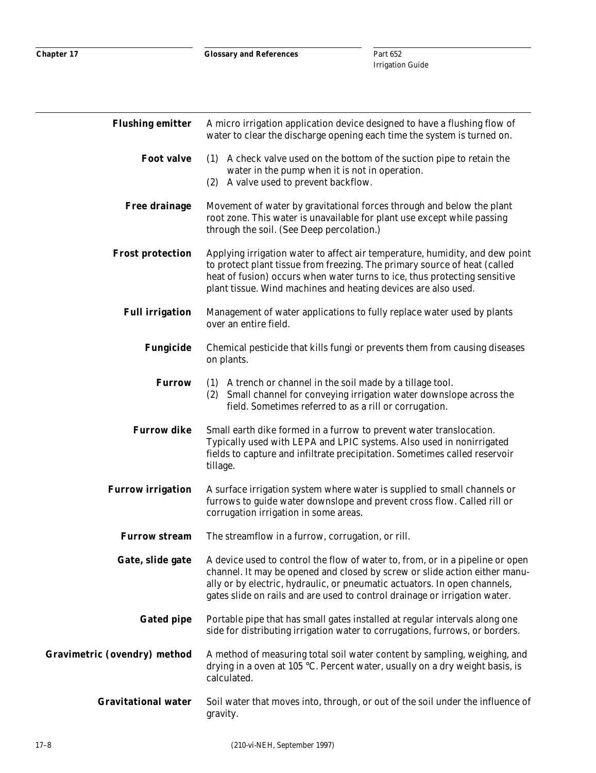| <b>Flushing emitter</b>             | A micro irrigation application device designed to have a flushing flow of<br>water to clear the discharge opening each time the system is turned on.                                                                                                                                                                                    |
|-------------------------------------|-----------------------------------------------------------------------------------------------------------------------------------------------------------------------------------------------------------------------------------------------------------------------------------------------------------------------------------------|
| <b>Foot valve</b>                   | (1) A check valve used on the bottom of the suction pipe to retain the<br>water in the pump when it is not in operation.<br>(2) A valve used to prevent backflow.                                                                                                                                                                       |
| <b>Free drainage</b>                | Movement of water by gravitational forces through and below the plant<br>root zone. This water is unavailable for plant use except while passing<br>through the soil. (See Deep percolation.)                                                                                                                                           |
| <b>Frost protection</b>             | Applying irrigation water to affect air temperature, humidity, and dew point<br>to protect plant tissue from freezing. The primary source of heat (called<br>heat of fusion) occurs when water turns to ice, thus protecting sensitive<br>plant tissue. Wind machines and heating devices are also used.                                |
| <b>Full irrigation</b>              | Management of water applications to fully replace water used by plants<br>over an entire field.                                                                                                                                                                                                                                         |
| <b>Fungicide</b>                    | Chemical pesticide that kills fungi or prevents them from causing diseases<br>on plants.                                                                                                                                                                                                                                                |
| <b>Furrow</b>                       | (1) A trench or channel in the soil made by a tillage tool.<br>Small channel for conveying irrigation water downslope across the<br>(2)<br>field. Sometimes referred to as a rill or corrugation.                                                                                                                                       |
| <b>Furrow dike</b>                  | Small earth dike formed in a furrow to prevent water translocation.<br>Typically used with LEPA and LPIC systems. Also used in nonirrigated<br>fields to capture and infiltrate precipitation. Sometimes called reservoir<br>tillage.                                                                                                   |
| <b>Furrow irrigation</b>            | A surface irrigation system where water is supplied to small channels or<br>furrows to guide water downslope and prevent cross flow. Called rill or<br>corrugation irrigation in some areas.                                                                                                                                            |
| <b>Furrow stream</b>                | The streamflow in a furrow, corrugation, or rill.                                                                                                                                                                                                                                                                                       |
|                                     | Gate, slide gate A device used to control the flow of water to, from, or in a pipeline or open<br>channel. It may be opened and closed by screw or slide action either manu-<br>ally or by electric, hydraulic, or pneumatic actuators. In open channels,<br>gates slide on rails and are used to control drainage or irrigation water. |
| <b>Gated pipe</b>                   | Portable pipe that has small gates installed at regular intervals along one<br>side for distributing irrigation water to corrugations, furrows, or borders.                                                                                                                                                                             |
| <b>Gravimetric (ovendry) method</b> | A method of measuring total soil water content by sampling, weighing, and<br>drying in a oven at 105 °C. Percent water, usually on a dry weight basis, is<br>calculated.                                                                                                                                                                |
| <b>Gravitational water</b>          | Soil water that moves into, through, or out of the soil under the influence of<br>gravity.                                                                                                                                                                                                                                              |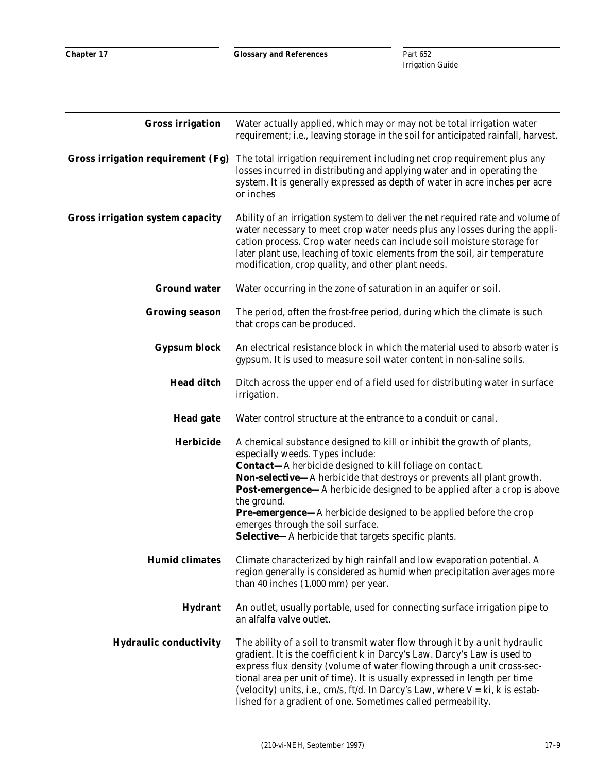| <b>Gross irrigation</b>           | Water actually applied, which may or may not be total irrigation water<br>requirement; i.e., leaving storage in the soil for anticipated rainfall, harvest.                                                                                                                                                                                                                                                                                                                                                                               |
|-----------------------------------|-------------------------------------------------------------------------------------------------------------------------------------------------------------------------------------------------------------------------------------------------------------------------------------------------------------------------------------------------------------------------------------------------------------------------------------------------------------------------------------------------------------------------------------------|
| Gross irrigation requirement (Fg) | The total irrigation requirement including net crop requirement plus any<br>losses incurred in distributing and applying water and in operating the<br>system. It is generally expressed as depth of water in acre inches per acre<br>or inches                                                                                                                                                                                                                                                                                           |
| Gross irrigation system capacity  | Ability of an irrigation system to deliver the net required rate and volume of<br>water necessary to meet crop water needs plus any losses during the appli-<br>cation process. Crop water needs can include soil moisture storage for<br>later plant use, leaching of toxic elements from the soil, air temperature<br>modification, crop quality, and other plant needs.                                                                                                                                                                |
| <b>Ground water</b>               | Water occurring in the zone of saturation in an aquifer or soil.                                                                                                                                                                                                                                                                                                                                                                                                                                                                          |
| <b>Growing season</b>             | The period, often the frost-free period, during which the climate is such<br>that crops can be produced.                                                                                                                                                                                                                                                                                                                                                                                                                                  |
| <b>Gypsum block</b>               | An electrical resistance block in which the material used to absorb water is<br>gypsum. It is used to measure soil water content in non-saline soils.                                                                                                                                                                                                                                                                                                                                                                                     |
| <b>Head ditch</b>                 | Ditch across the upper end of a field used for distributing water in surface<br>irrigation.                                                                                                                                                                                                                                                                                                                                                                                                                                               |
| <b>Head gate</b>                  | Water control structure at the entrance to a conduit or canal.                                                                                                                                                                                                                                                                                                                                                                                                                                                                            |
| <b>Herbicide</b>                  | A chemical substance designed to kill or inhibit the growth of plants,<br>especially weeds. Types include:<br><b>Contact-</b> A herbicide designed to kill foliage on contact.<br>Non-selective-A herbicide that destroys or prevents all plant growth.<br><b>Post-emergence</b> —A herbicide designed to be applied after a crop is above<br>the ground.<br><b>Pre-emergence</b> —A herbicide designed to be applied before the crop<br>emerges through the soil surface.<br><b>Selective-</b> A herbicide that targets specific plants. |
| <b>Humid climates</b>             | Climate characterized by high rainfall and low evaporation potential. A<br>region generally is considered as humid when precipitation averages more<br>than 40 inches (1,000 mm) per year.                                                                                                                                                                                                                                                                                                                                                |
| <b>Hydrant</b>                    | An outlet, usually portable, used for connecting surface irrigation pipe to<br>an alfalfa valve outlet.                                                                                                                                                                                                                                                                                                                                                                                                                                   |
| <b>Hydraulic conductivity</b>     | The ability of a soil to transmit water flow through it by a unit hydraulic<br>gradient. It is the coefficient k in Darcy's Law. Darcy's Law is used to<br>express flux density (volume of water flowing through a unit cross-sec-<br>tional area per unit of time). It is usually expressed in length per time<br>(velocity) units, i.e., cm/s, ft/d. In Darcy's Law, where $V = ki$ , k is estab-<br>lished for a gradient of one. Sometimes called permeability.                                                                       |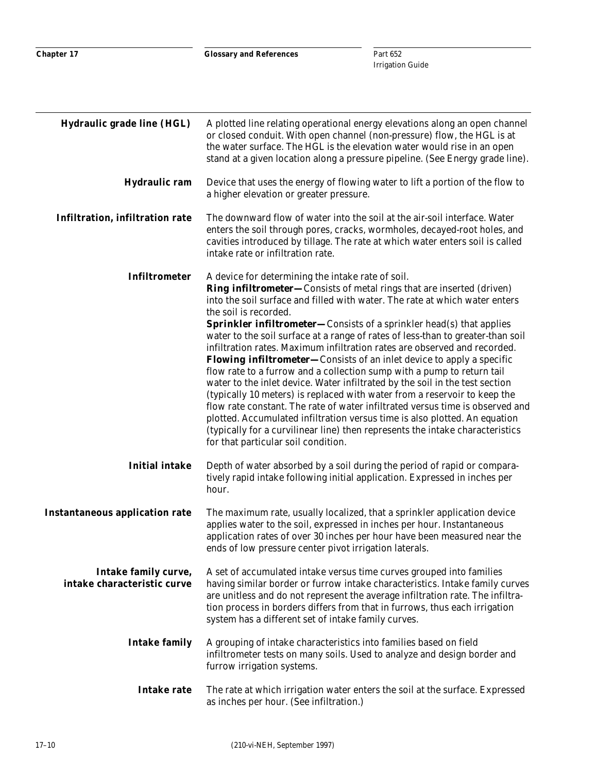| <b>Hydraulic grade line (HGL)</b>                   | A plotted line relating operational energy elevations along an open channel<br>or closed conduit. With open channel (non-pressure) flow, the HGL is at<br>the water surface. The HGL is the elevation water would rise in an open<br>stand at a given location along a pressure pipeline. (See Energy grade line).                                                                                                                                                                                                                                                                                                                                                                                                                                                                                                                                                                                                                                                                                                                                                                                      |
|-----------------------------------------------------|---------------------------------------------------------------------------------------------------------------------------------------------------------------------------------------------------------------------------------------------------------------------------------------------------------------------------------------------------------------------------------------------------------------------------------------------------------------------------------------------------------------------------------------------------------------------------------------------------------------------------------------------------------------------------------------------------------------------------------------------------------------------------------------------------------------------------------------------------------------------------------------------------------------------------------------------------------------------------------------------------------------------------------------------------------------------------------------------------------|
| Hydraulic ram                                       | Device that uses the energy of flowing water to lift a portion of the flow to<br>a higher elevation or greater pressure.                                                                                                                                                                                                                                                                                                                                                                                                                                                                                                                                                                                                                                                                                                                                                                                                                                                                                                                                                                                |
| Infiltration, infiltration rate                     | The downward flow of water into the soil at the air-soil interface. Water<br>enters the soil through pores, cracks, wormholes, decayed-root holes, and<br>cavities introduced by tillage. The rate at which water enters soil is called<br>intake rate or infiltration rate.                                                                                                                                                                                                                                                                                                                                                                                                                                                                                                                                                                                                                                                                                                                                                                                                                            |
| <b>Infiltrometer</b>                                | A device for determining the intake rate of soil.<br><b>Ring infiltrometer—Consists of metal rings that are inserted (driven)</b><br>into the soil surface and filled with water. The rate at which water enters<br>the soil is recorded.<br><b>Sprinkler infiltrometer-Consists of a sprinkler head(s) that applies</b><br>water to the soil surface at a range of rates of less-than to greater-than soil<br>infiltration rates. Maximum infiltration rates are observed and recorded.<br><b>Flowing infiltrometer</b> —Consists of an inlet device to apply a specific<br>flow rate to a furrow and a collection sump with a pump to return tail<br>water to the inlet device. Water infiltrated by the soil in the test section<br>(typically 10 meters) is replaced with water from a reservoir to keep the<br>flow rate constant. The rate of water infiltrated versus time is observed and<br>plotted. Accumulated infiltration versus time is also plotted. An equation<br>(typically for a curvilinear line) then represents the intake characteristics<br>for that particular soil condition. |
| <b>Initial intake</b>                               | Depth of water absorbed by a soil during the period of rapid or compara-<br>tively rapid intake following initial application. Expressed in inches per<br>hour.                                                                                                                                                                                                                                                                                                                                                                                                                                                                                                                                                                                                                                                                                                                                                                                                                                                                                                                                         |
| <b>Instantaneous application rate</b>               | The maximum rate, usually localized, that a sprinkler application device<br>applies water to the soil, expressed in inches per hour. Instantaneous<br>application rates of over 30 inches per hour have been measured near the<br>ends of low pressure center pivot irrigation laterals.                                                                                                                                                                                                                                                                                                                                                                                                                                                                                                                                                                                                                                                                                                                                                                                                                |
| Intake family curve,<br>intake characteristic curve | A set of accumulated intake versus time curves grouped into families<br>having similar border or furrow intake characteristics. Intake family curves<br>are unitless and do not represent the average infiltration rate. The infiltra-<br>tion process in borders differs from that in furrows, thus each irrigation<br>system has a different set of intake family curves.                                                                                                                                                                                                                                                                                                                                                                                                                                                                                                                                                                                                                                                                                                                             |
| <b>Intake family</b>                                | A grouping of intake characteristics into families based on field<br>infiltrometer tests on many soils. Used to analyze and design border and<br>furrow irrigation systems.                                                                                                                                                                                                                                                                                                                                                                                                                                                                                                                                                                                                                                                                                                                                                                                                                                                                                                                             |
| <b>Intake rate</b>                                  | The rate at which irrigation water enters the soil at the surface. Expressed<br>as inches per hour. (See infiltration.)                                                                                                                                                                                                                                                                                                                                                                                                                                                                                                                                                                                                                                                                                                                                                                                                                                                                                                                                                                                 |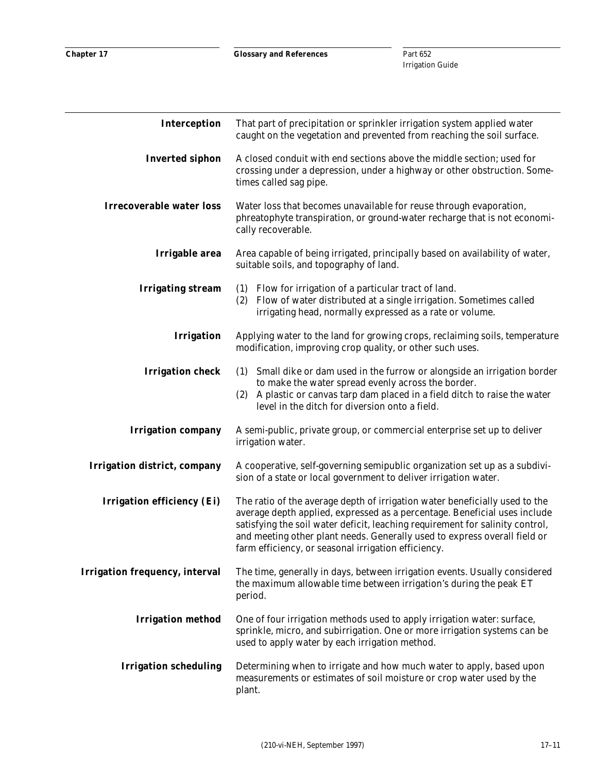| Interception                        | That part of precipitation or sprinkler irrigation system applied water<br>caught on the vegetation and prevented from reaching the soil surface.                                                                                                                                                                                                                             |
|-------------------------------------|-------------------------------------------------------------------------------------------------------------------------------------------------------------------------------------------------------------------------------------------------------------------------------------------------------------------------------------------------------------------------------|
| <b>Inverted siphon</b>              | A closed conduit with end sections above the middle section; used for<br>crossing under a depression, under a highway or other obstruction. Some-<br>times called sag pipe.                                                                                                                                                                                                   |
| <b>Irrecoverable water loss</b>     | Water loss that becomes unavailable for reuse through evaporation,<br>phreatophyte transpiration, or ground-water recharge that is not economi-<br>cally recoverable.                                                                                                                                                                                                         |
| Irrigable area                      | Area capable of being irrigated, principally based on availability of water,<br>suitable soils, and topography of land.                                                                                                                                                                                                                                                       |
| <b>Irrigating stream</b>            | (1) Flow for irrigation of a particular tract of land.<br>Flow of water distributed at a single irrigation. Sometimes called<br>(2)<br>irrigating head, normally expressed as a rate or volume.                                                                                                                                                                               |
| <b>Irrigation</b>                   | Applying water to the land for growing crops, reclaiming soils, temperature<br>modification, improving crop quality, or other such uses.                                                                                                                                                                                                                                      |
| <b>Irrigation check</b>             | (1) Small dike or dam used in the furrow or alongside an irrigation border<br>to make the water spread evenly across the border.<br>(2) A plastic or canvas tarp dam placed in a field ditch to raise the water<br>level in the ditch for diversion onto a field.                                                                                                             |
| <b>Irrigation company</b>           | A semi-public, private group, or commercial enterprise set up to deliver<br>irrigation water.                                                                                                                                                                                                                                                                                 |
| <b>Irrigation district, company</b> | A cooperative, self-governing semipublic organization set up as a subdivi-<br>sion of a state or local government to deliver irrigation water.                                                                                                                                                                                                                                |
| <b>Irrigation efficiency (Ei)</b>   | The ratio of the average depth of irrigation water beneficially used to the<br>average depth applied, expressed as a percentage. Beneficial uses include<br>satisfying the soil water deficit, leaching requirement for salinity control,<br>and meeting other plant needs. Generally used to express overall field or<br>farm efficiency, or seasonal irrigation efficiency. |
| Irrigation frequency, interval      | The time, generally in days, between irrigation events. Usually considered<br>the maximum allowable time between irrigation's during the peak ET<br>period.                                                                                                                                                                                                                   |
| <b>Irrigation method</b>            | One of four irrigation methods used to apply irrigation water: surface,<br>sprinkle, micro, and subirrigation. One or more irrigation systems can be<br>used to apply water by each irrigation method.                                                                                                                                                                        |
| <b>Irrigation scheduling</b>        | Determining when to irrigate and how much water to apply, based upon<br>measurements or estimates of soil moisture or crop water used by the<br>plant.                                                                                                                                                                                                                        |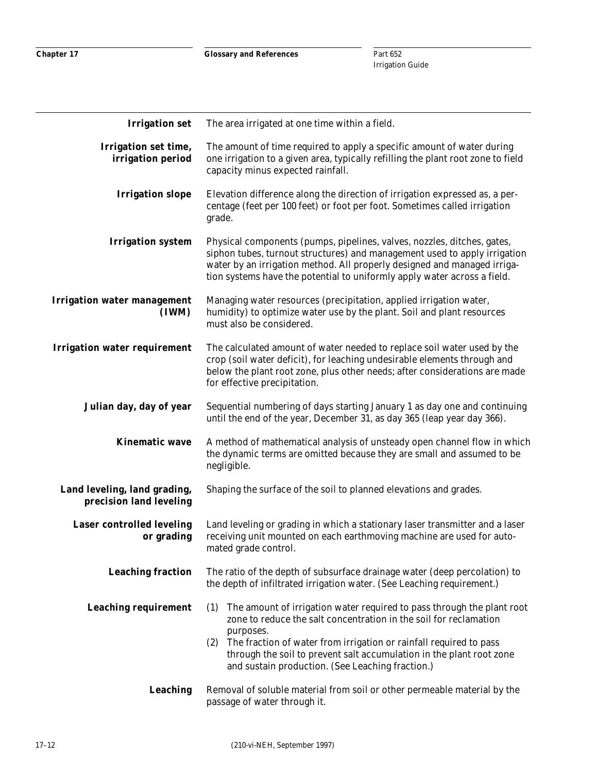**Chapter 17**

**Glossary and References**

| <b>Irrigation set</b>                                   | The area irrigated at one time within a field.                                                                                                                                                                                                                                                                                                                        |
|---------------------------------------------------------|-----------------------------------------------------------------------------------------------------------------------------------------------------------------------------------------------------------------------------------------------------------------------------------------------------------------------------------------------------------------------|
| Irrigation set time,<br>irrigation period               | The amount of time required to apply a specific amount of water during<br>one irrigation to a given area, typically refilling the plant root zone to field<br>capacity minus expected rainfall.                                                                                                                                                                       |
| <b>Irrigation slope</b>                                 | Elevation difference along the direction of irrigation expressed as, a per-<br>centage (feet per 100 feet) or foot per foot. Sometimes called irrigation<br>grade.                                                                                                                                                                                                    |
| <b>Irrigation system</b>                                | Physical components (pumps, pipelines, valves, nozzles, ditches, gates,<br>siphon tubes, turnout structures) and management used to apply irrigation<br>water by an irrigation method. All properly designed and managed irriga-<br>tion systems have the potential to uniformly apply water across a field.                                                          |
| <b>Irrigation water management</b><br>(IWM)             | Managing water resources (precipitation, applied irrigation water,<br>humidity) to optimize water use by the plant. Soil and plant resources<br>must also be considered.                                                                                                                                                                                              |
| <b>Irrigation water requirement</b>                     | The calculated amount of water needed to replace soil water used by the<br>crop (soil water deficit), for leaching undesirable elements through and<br>below the plant root zone, plus other needs; after considerations are made<br>for effective precipitation.                                                                                                     |
| Julian day, day of year                                 | Sequential numbering of days starting January 1 as day one and continuing<br>until the end of the year, December 31, as day 365 (leap year day 366).                                                                                                                                                                                                                  |
| <b>Kinematic wave</b>                                   | A method of mathematical analysis of unsteady open channel flow in which<br>the dynamic terms are omitted because they are small and assumed to be<br>negligible.                                                                                                                                                                                                     |
| Land leveling, land grading,<br>precision land leveling | Shaping the surface of the soil to planned elevations and grades.                                                                                                                                                                                                                                                                                                     |
| <b>Laser controlled leveling</b><br>or grading          | Land leveling or grading in which a stationary laser transmitter and a laser<br>receiving unit mounted on each earthmoving machine are used for auto-<br>mated grade control.                                                                                                                                                                                         |
| <b>Leaching fraction</b>                                | The ratio of the depth of subsurface drainage water (deep percolation) to<br>the depth of infiltrated irrigation water. (See Leaching requirement.)                                                                                                                                                                                                                   |
| <b>Leaching requirement</b>                             | The amount of irrigation water required to pass through the plant root<br>(1)<br>zone to reduce the salt concentration in the soil for reclamation<br>purposes.<br>(2) The fraction of water from irrigation or rainfall required to pass<br>through the soil to prevent salt accumulation in the plant root zone<br>and sustain production. (See Leaching fraction.) |
| Leaching                                                | Removal of soluble material from soil or other permeable material by the<br>passage of water through it.                                                                                                                                                                                                                                                              |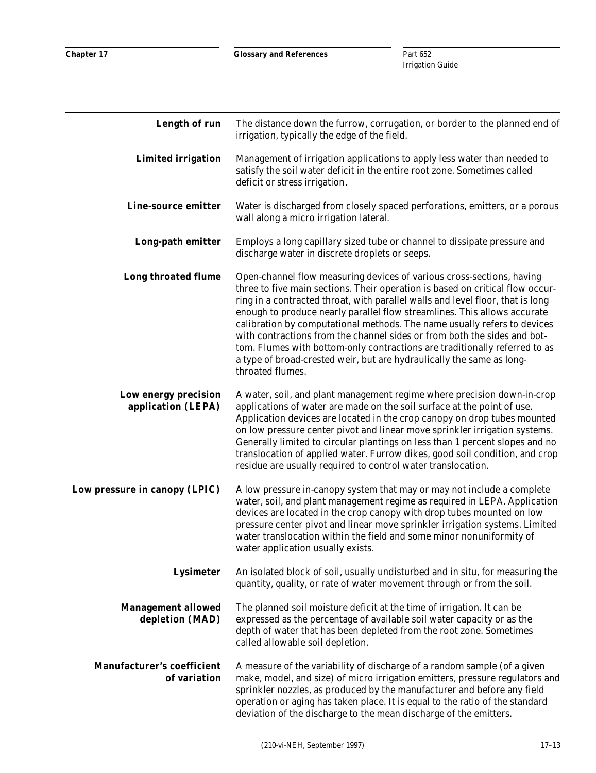| Length of run                                     | The distance down the furrow, corrugation, or border to the planned end of<br>irrigation, typically the edge of the field.                                                                                                                                                                                                                                                                                                                                                                                                                                                                                                                              |
|---------------------------------------------------|---------------------------------------------------------------------------------------------------------------------------------------------------------------------------------------------------------------------------------------------------------------------------------------------------------------------------------------------------------------------------------------------------------------------------------------------------------------------------------------------------------------------------------------------------------------------------------------------------------------------------------------------------------|
| <b>Limited irrigation</b>                         | Management of irrigation applications to apply less water than needed to<br>satisfy the soil water deficit in the entire root zone. Sometimes called<br>deficit or stress irrigation.                                                                                                                                                                                                                                                                                                                                                                                                                                                                   |
| Line-source emitter                               | Water is discharged from closely spaced perforations, emitters, or a porous<br>wall along a micro irrigation lateral.                                                                                                                                                                                                                                                                                                                                                                                                                                                                                                                                   |
| Long-path emitter                                 | Employs a long capillary sized tube or channel to dissipate pressure and<br>discharge water in discrete droplets or seeps.                                                                                                                                                                                                                                                                                                                                                                                                                                                                                                                              |
| <b>Long throated flume</b>                        | Open-channel flow measuring devices of various cross-sections, having<br>three to five main sections. Their operation is based on critical flow occur-<br>ring in a contracted throat, with parallel walls and level floor, that is long<br>enough to produce nearly parallel flow streamlines. This allows accurate<br>calibration by computational methods. The name usually refers to devices<br>with contractions from the channel sides or from both the sides and bot-<br>tom. Flumes with bottom-only contractions are traditionally referred to as<br>a type of broad-crested weir, but are hydraulically the same as long-<br>throated flumes. |
| Low energy precision<br>application (LEPA)        | A water, soil, and plant management regime where precision down-in-crop<br>applications of water are made on the soil surface at the point of use.<br>Application devices are located in the crop canopy on drop tubes mounted<br>on low pressure center pivot and linear move sprinkler irrigation systems.<br>Generally limited to circular plantings on less than 1 percent slopes and no<br>translocation of applied water. Furrow dikes, good soil condition, and crop<br>residue are usually required to control water translocation.                                                                                                             |
| Low pressure in canopy (LPIC)                     | A low pressure in-canopy system that may or may not include a complete<br>water, soil, and plant management regime as required in LEPA. Application<br>devices are located in the crop canopy with drop tubes mounted on low<br>pressure center pivot and linear move sprinkler irrigation systems. Limited<br>water translocation within the field and some minor nonuniformity of<br>water application usually exists.                                                                                                                                                                                                                                |
| <b>Lysimeter</b>                                  | An isolated block of soil, usually undisturbed and in situ, for measuring the<br>quantity, quality, or rate of water movement through or from the soil.                                                                                                                                                                                                                                                                                                                                                                                                                                                                                                 |
| <b>Management allowed</b><br>depletion (MAD)      | The planned soil moisture deficit at the time of irrigation. It can be<br>expressed as the percentage of available soil water capacity or as the<br>depth of water that has been depleted from the root zone. Sometimes<br>called allowable soil depletion.                                                                                                                                                                                                                                                                                                                                                                                             |
| <b>Manufacturer's coefficient</b><br>of variation | A measure of the variability of discharge of a random sample (of a given<br>make, model, and size) of micro irrigation emitters, pressure regulators and<br>sprinkler nozzles, as produced by the manufacturer and before any field<br>operation or aging has taken place. It is equal to the ratio of the standard<br>deviation of the discharge to the mean discharge of the emitters.                                                                                                                                                                                                                                                                |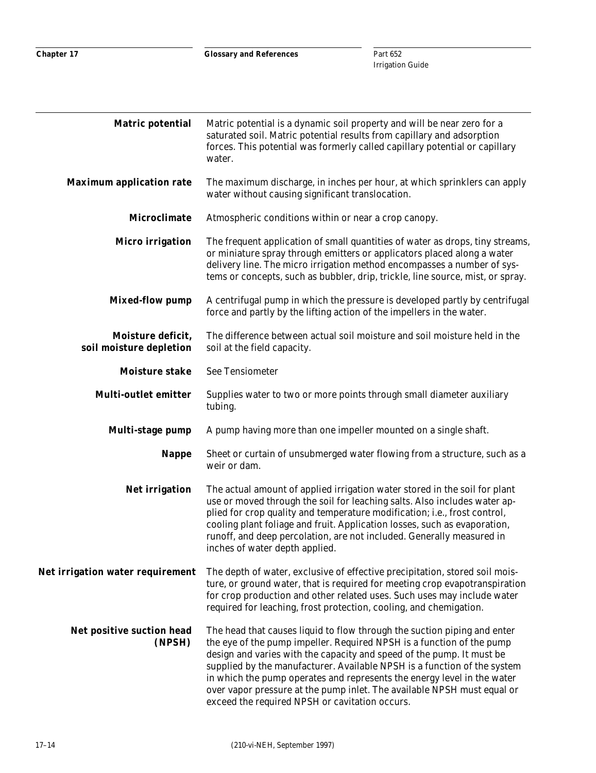| <b>Matric potential</b>                      | Matric potential is a dynamic soil property and will be near zero for a<br>saturated soil. Matric potential results from capillary and adsorption<br>forces. This potential was formerly called capillary potential or capillary<br>water.                                                                                                                                                                                                                                                                     |
|----------------------------------------------|----------------------------------------------------------------------------------------------------------------------------------------------------------------------------------------------------------------------------------------------------------------------------------------------------------------------------------------------------------------------------------------------------------------------------------------------------------------------------------------------------------------|
| <b>Maximum application rate</b>              | The maximum discharge, in inches per hour, at which sprinklers can apply<br>water without causing significant translocation.                                                                                                                                                                                                                                                                                                                                                                                   |
| <b>Microclimate</b>                          | Atmospheric conditions within or near a crop canopy.                                                                                                                                                                                                                                                                                                                                                                                                                                                           |
| <b>Micro</b> irrigation                      | The frequent application of small quantities of water as drops, tiny streams,<br>or miniature spray through emitters or applicators placed along a water<br>delivery line. The micro irrigation method encompasses a number of sys-<br>tems or concepts, such as bubbler, drip, trickle, line source, mist, or spray.                                                                                                                                                                                          |
| <b>Mixed-flow pump</b>                       | A centrifugal pump in which the pressure is developed partly by centrifugal<br>force and partly by the lifting action of the impellers in the water.                                                                                                                                                                                                                                                                                                                                                           |
| Moisture deficit,<br>soil moisture depletion | The difference between actual soil moisture and soil moisture held in the<br>soil at the field capacity.                                                                                                                                                                                                                                                                                                                                                                                                       |
| <b>Moisture stake</b>                        | <b>See Tensiometer</b>                                                                                                                                                                                                                                                                                                                                                                                                                                                                                         |
| <b>Multi-outlet emitter</b>                  | Supplies water to two or more points through small diameter auxiliary<br>tubing.                                                                                                                                                                                                                                                                                                                                                                                                                               |
| Multi-stage pump                             | A pump having more than one impeller mounted on a single shaft.                                                                                                                                                                                                                                                                                                                                                                                                                                                |
| <b>Nappe</b>                                 | Sheet or curtain of unsubmerged water flowing from a structure, such as a<br>weir or dam.                                                                                                                                                                                                                                                                                                                                                                                                                      |
| <b>Net irrigation</b>                        | The actual amount of applied irrigation water stored in the soil for plant<br>use or moved through the soil for leaching salts. Also includes water ap-<br>plied for crop quality and temperature modification; i.e., frost control,<br>cooling plant foliage and fruit. Application losses, such as evaporation,<br>runoff, and deep percolation, are not included. Generally measured in<br>inches of water depth applied.                                                                                   |
| Net irrigation water requirement             | The depth of water, exclusive of effective precipitation, stored soil mois-<br>ture, or ground water, that is required for meeting crop evapotranspiration<br>for crop production and other related uses. Such uses may include water<br>required for leaching, frost protection, cooling, and chemigation.                                                                                                                                                                                                    |
| Net positive suction head<br>(NPSH)          | The head that causes liquid to flow through the suction piping and enter<br>the eye of the pump impeller. Required NPSH is a function of the pump<br>design and varies with the capacity and speed of the pump. It must be<br>supplied by the manufacturer. Available NPSH is a function of the system<br>in which the pump operates and represents the energy level in the water<br>over vapor pressure at the pump inlet. The available NPSH must equal or<br>exceed the required NPSH or cavitation occurs. |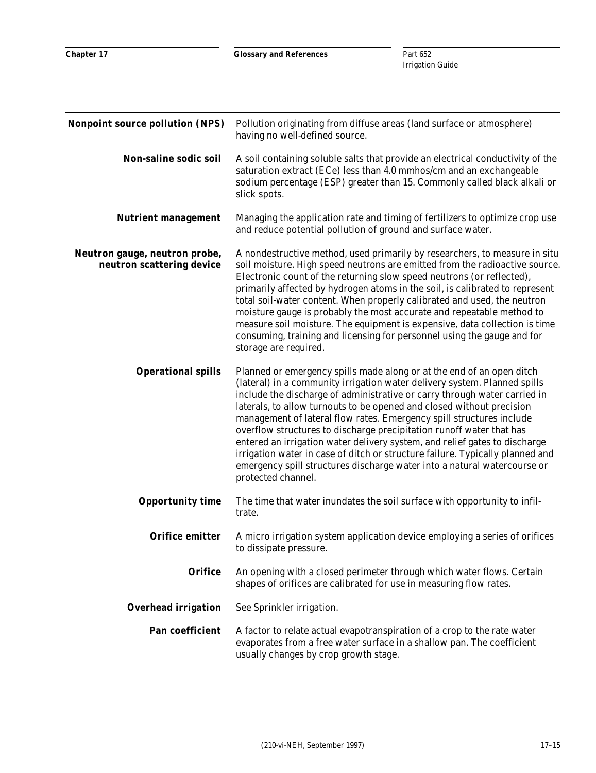| <b>Nonpoint source pollution (NPS)</b>                     | Pollution originating from diffuse areas (land surface or atmosphere)<br>having no well-defined source.                                                                                                                                                                                                                                                                                                                                                                                                                                                                                                                                                                                                                   |
|------------------------------------------------------------|---------------------------------------------------------------------------------------------------------------------------------------------------------------------------------------------------------------------------------------------------------------------------------------------------------------------------------------------------------------------------------------------------------------------------------------------------------------------------------------------------------------------------------------------------------------------------------------------------------------------------------------------------------------------------------------------------------------------------|
| Non-saline sodic soil                                      | A soil containing soluble salts that provide an electrical conductivity of the<br>saturation extract (ECe) less than 4.0 mmhos/cm and an exchangeable<br>sodium percentage (ESP) greater than 15. Commonly called black alkali or<br>slick spots.                                                                                                                                                                                                                                                                                                                                                                                                                                                                         |
| <b>Nutrient management</b>                                 | Managing the application rate and timing of fertilizers to optimize crop use<br>and reduce potential pollution of ground and surface water.                                                                                                                                                                                                                                                                                                                                                                                                                                                                                                                                                                               |
| Neutron gauge, neutron probe,<br>neutron scattering device | A nondestructive method, used primarily by researchers, to measure in situ<br>soil moisture. High speed neutrons are emitted from the radioactive source.<br>Electronic count of the returning slow speed neutrons (or reflected),<br>primarily affected by hydrogen atoms in the soil, is calibrated to represent<br>total soil-water content. When properly calibrated and used, the neutron<br>moisture gauge is probably the most accurate and repeatable method to<br>measure soil moisture. The equipment is expensive, data collection is time<br>consuming, training and licensing for personnel using the gauge and for<br>storage are required.                                                                 |
| <b>Operational spills</b>                                  | Planned or emergency spills made along or at the end of an open ditch<br>(lateral) in a community irrigation water delivery system. Planned spills<br>include the discharge of administrative or carry through water carried in<br>laterals, to allow turnouts to be opened and closed without precision<br>management of lateral flow rates. Emergency spill structures include<br>overflow structures to discharge precipitation runoff water that has<br>entered an irrigation water delivery system, and relief gates to discharge<br>irrigation water in case of ditch or structure failure. Typically planned and<br>emergency spill structures discharge water into a natural watercourse or<br>protected channel. |
| <b>Opportunity time</b>                                    | The time that water inundates the soil surface with opportunity to infil-<br>trate.                                                                                                                                                                                                                                                                                                                                                                                                                                                                                                                                                                                                                                       |
| <b>Orifice emitter</b>                                     | A micro irrigation system application device employing a series of orifices<br>to dissipate pressure.                                                                                                                                                                                                                                                                                                                                                                                                                                                                                                                                                                                                                     |
| <b>Orifice</b>                                             | An opening with a closed perimeter through which water flows. Certain<br>shapes of orifices are calibrated for use in measuring flow rates.                                                                                                                                                                                                                                                                                                                                                                                                                                                                                                                                                                               |
| <b>Overhead irrigation</b>                                 | See Sprinkler irrigation.                                                                                                                                                                                                                                                                                                                                                                                                                                                                                                                                                                                                                                                                                                 |
| Pan coefficient                                            | A factor to relate actual evapotranspiration of a crop to the rate water<br>evaporates from a free water surface in a shallow pan. The coefficient<br>usually changes by crop growth stage.                                                                                                                                                                                                                                                                                                                                                                                                                                                                                                                               |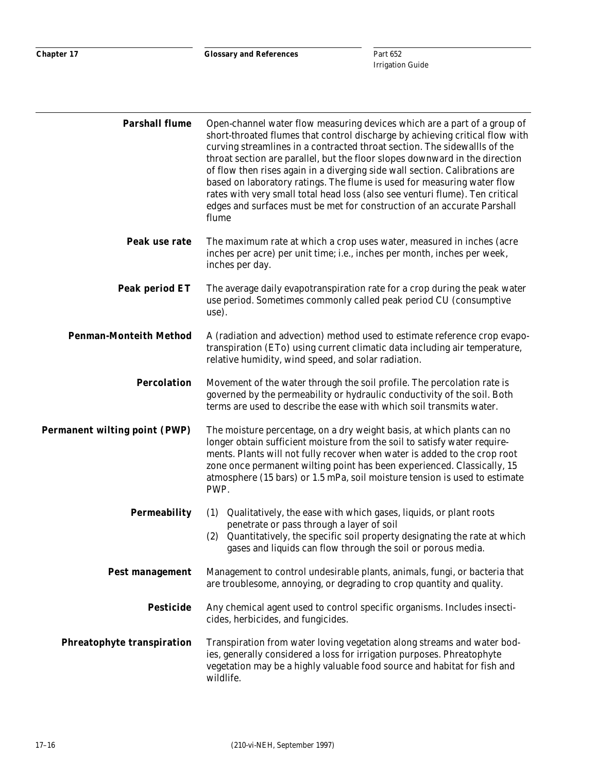| <b>Parshall flume</b>                | Open-channel water flow measuring devices which are a part of a group of<br>short-throated flumes that control discharge by achieving critical flow with<br>curving streamlines in a contracted throat section. The sidewallls of the<br>throat section are parallel, but the floor slopes downward in the direction<br>of flow then rises again in a diverging side wall section. Calibrations are<br>based on laboratory ratings. The flume is used for measuring water flow<br>rates with very small total head loss (also see venturi flume). Ten critical<br>edges and surfaces must be met for construction of an accurate Parshall<br>flume |
|--------------------------------------|----------------------------------------------------------------------------------------------------------------------------------------------------------------------------------------------------------------------------------------------------------------------------------------------------------------------------------------------------------------------------------------------------------------------------------------------------------------------------------------------------------------------------------------------------------------------------------------------------------------------------------------------------|
| Peak use rate                        | The maximum rate at which a crop uses water, measured in inches (acre<br>inches per acre) per unit time; i.e., inches per month, inches per week,<br>inches per day.                                                                                                                                                                                                                                                                                                                                                                                                                                                                               |
| Peak period ET                       | The average daily evapotranspiration rate for a crop during the peak water<br>use period. Sometimes commonly called peak period CU (consumptive<br>use).                                                                                                                                                                                                                                                                                                                                                                                                                                                                                           |
| <b>Penman-Monteith Method</b>        | A (radiation and advection) method used to estimate reference crop evapo-<br>transpiration (ETo) using current climatic data including air temperature,<br>relative humidity, wind speed, and solar radiation.                                                                                                                                                                                                                                                                                                                                                                                                                                     |
| <b>Percolation</b>                   | Movement of the water through the soil profile. The percolation rate is<br>governed by the permeability or hydraulic conductivity of the soil. Both<br>terms are used to describe the ease with which soil transmits water.                                                                                                                                                                                                                                                                                                                                                                                                                        |
| <b>Permanent wilting point (PWP)</b> | The moisture percentage, on a dry weight basis, at which plants can no<br>longer obtain sufficient moisture from the soil to satisfy water require-<br>ments. Plants will not fully recover when water is added to the crop root<br>zone once permanent wilting point has been experienced. Classically, 15<br>atmosphere (15 bars) or 1.5 mPa, soil moisture tension is used to estimate<br>PWP.                                                                                                                                                                                                                                                  |
| <b>Permeability</b>                  | Qualitatively, the ease with which gases, liquids, or plant roots<br>(1)<br>penetrate or pass through a layer of soil<br>Quantitatively, the specific soil property designating the rate at which<br>(2)<br>gases and liquids can flow through the soil or porous media.                                                                                                                                                                                                                                                                                                                                                                           |
| <b>Pest management</b>               | Management to control undesirable plants, animals, fungi, or bacteria that<br>are troublesome, annoying, or degrading to crop quantity and quality.                                                                                                                                                                                                                                                                                                                                                                                                                                                                                                |
| <b>Pesticide</b>                     | Any chemical agent used to control specific organisms. Includes insecti-<br>cides, herbicides, and fungicides.                                                                                                                                                                                                                                                                                                                                                                                                                                                                                                                                     |
| <b>Phreatophyte transpiration</b>    | Transpiration from water loving vegetation along streams and water bod-<br>ies, generally considered a loss for irrigation purposes. Phreatophyte<br>vegetation may be a highly valuable food source and habitat for fish and<br>wildlife.                                                                                                                                                                                                                                                                                                                                                                                                         |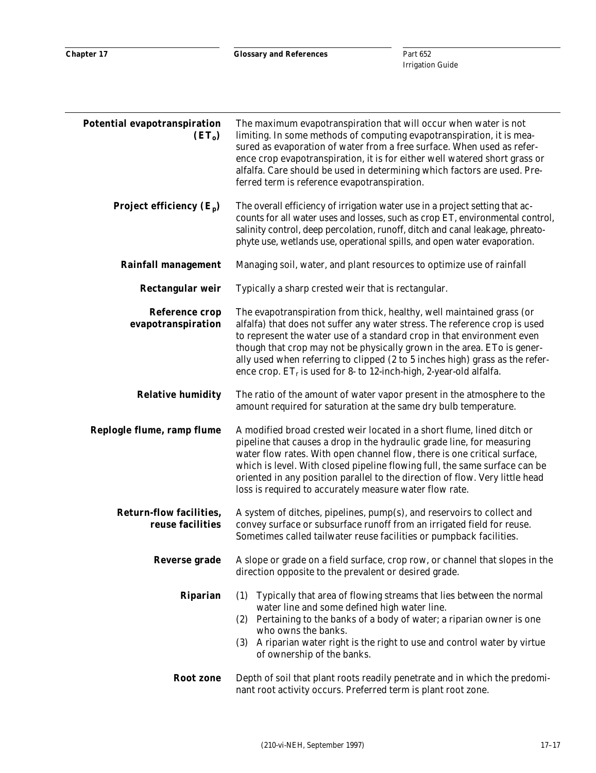| Potential evapotranspiration<br>$(ET_0)$           | The maximum evapotranspiration that will occur when water is not<br>limiting. In some methods of computing evapotranspiration, it is mea-<br>sured as evaporation of water from a free surface. When used as refer-<br>ence crop evapotranspiration, it is for either well watered short grass or<br>alfalfa. Care should be used in determining which factors are used. Pre-<br>ferred term is reference evapotranspiration.                                     |
|----------------------------------------------------|-------------------------------------------------------------------------------------------------------------------------------------------------------------------------------------------------------------------------------------------------------------------------------------------------------------------------------------------------------------------------------------------------------------------------------------------------------------------|
| Project efficiency $(E_p)$                         | The overall efficiency of irrigation water use in a project setting that ac-<br>counts for all water uses and losses, such as crop ET, environmental control,<br>salinity control, deep percolation, runoff, ditch and canal leakage, phreato-<br>phyte use, wetlands use, operational spills, and open water evaporation.                                                                                                                                        |
| <b>Rainfall management</b>                         | Managing soil, water, and plant resources to optimize use of rainfall                                                                                                                                                                                                                                                                                                                                                                                             |
| <b>Rectangular weir</b>                            | Typically a sharp crested weir that is rectangular.                                                                                                                                                                                                                                                                                                                                                                                                               |
| <b>Reference crop</b><br>evapotranspiration        | The evapotranspiration from thick, healthy, well maintained grass (or<br>alfalfa) that does not suffer any water stress. The reference crop is used<br>to represent the water use of a standard crop in that environment even<br>though that crop may not be physically grown in the area. ETo is gener-<br>ally used when referring to clipped (2 to 5 inches high) grass as the refer-<br>ence crop. $ET_r$ is used for 8- to 12-inch-high, 2-year-old alfalfa. |
| <b>Relative humidity</b>                           | The ratio of the amount of water vapor present in the atmosphere to the<br>amount required for saturation at the same dry bulb temperature.                                                                                                                                                                                                                                                                                                                       |
| Replogle flume, ramp flume                         | A modified broad crested weir located in a short flume, lined ditch or<br>pipeline that causes a drop in the hydraulic grade line, for measuring<br>water flow rates. With open channel flow, there is one critical surface,<br>which is level. With closed pipeline flowing full, the same surface can be<br>oriented in any position parallel to the direction of flow. Very little head<br>loss is required to accurately measure water flow rate.             |
| <b>Return-flow facilities,</b><br>reuse facilities | A system of ditches, pipelines, pump(s), and reservoirs to collect and<br>convey surface or subsurface runoff from an irrigated field for reuse.<br>Sometimes called tailwater reuse facilities or pumpback facilities.                                                                                                                                                                                                                                           |
| <b>Reverse grade</b>                               | A slope or grade on a field surface, crop row, or channel that slopes in the<br>direction opposite to the prevalent or desired grade.                                                                                                                                                                                                                                                                                                                             |
| <b>Riparian</b>                                    | Typically that area of flowing streams that lies between the normal<br>(1)<br>water line and some defined high water line.<br>(2) Pertaining to the banks of a body of water; a riparian owner is one<br>who owns the banks.<br>(3)<br>A riparian water right is the right to use and control water by virtue<br>of ownership of the banks.                                                                                                                       |
| Root zone                                          | Depth of soil that plant roots readily penetrate and in which the predomi-<br>nant root activity occurs. Preferred term is plant root zone.                                                                                                                                                                                                                                                                                                                       |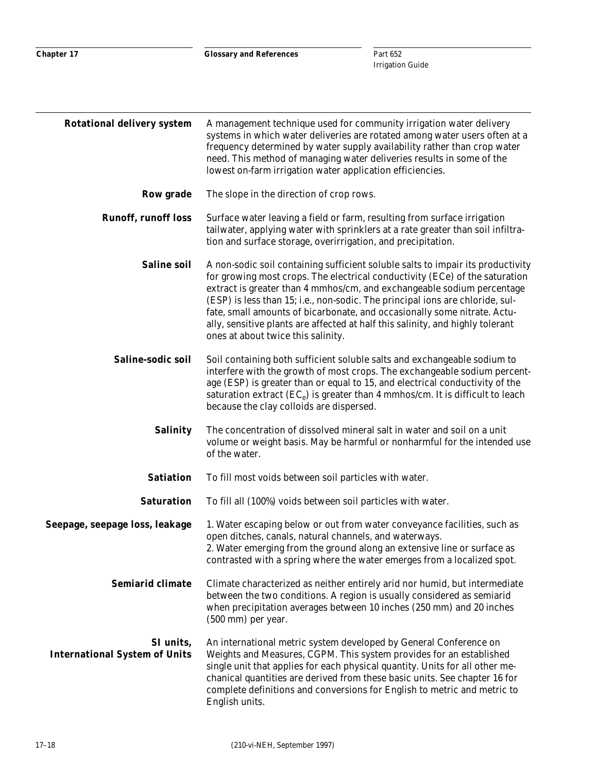| <b>Rotational delivery system</b>                 | A management technique used for community irrigation water delivery<br>systems in which water deliveries are rotated among water users often at a<br>frequency determined by water supply availability rather than crop water<br>need. This method of managing water deliveries results in some of the<br>lowest on-farm irrigation water application efficiencies.                                                                                                                                                           |
|---------------------------------------------------|-------------------------------------------------------------------------------------------------------------------------------------------------------------------------------------------------------------------------------------------------------------------------------------------------------------------------------------------------------------------------------------------------------------------------------------------------------------------------------------------------------------------------------|
| <b>Row grade</b>                                  | The slope in the direction of crop rows.                                                                                                                                                                                                                                                                                                                                                                                                                                                                                      |
| <b>Runoff, runoff loss</b>                        | Surface water leaving a field or farm, resulting from surface irrigation<br>tailwater, applying water with sprinklers at a rate greater than soil infiltra-<br>tion and surface storage, overirrigation, and precipitation.                                                                                                                                                                                                                                                                                                   |
| <b>Saline soil</b>                                | A non-sodic soil containing sufficient soluble salts to impair its productivity<br>for growing most crops. The electrical conductivity (ECe) of the saturation<br>extract is greater than 4 mmhos/cm, and exchangeable sodium percentage<br>(ESP) is less than 15; i.e., non-sodic. The principal ions are chloride, sul-<br>fate, small amounts of bicarbonate, and occasionally some nitrate. Actu-<br>ally, sensitive plants are affected at half this salinity, and highly tolerant<br>ones at about twice this salinity. |
| Saline-sodic soil                                 | Soil containing both sufficient soluble salts and exchangeable sodium to<br>interfere with the growth of most crops. The exchangeable sodium percent-<br>age (ESP) is greater than or equal to 15, and electrical conductivity of the<br>saturation extract $(EC_e)$ is greater than 4 mmhos/cm. It is difficult to leach<br>because the clay colloids are dispersed.                                                                                                                                                         |
| <b>Salinity</b>                                   | The concentration of dissolved mineral salt in water and soil on a unit<br>volume or weight basis. May be harmful or nonharmful for the intended use<br>of the water.                                                                                                                                                                                                                                                                                                                                                         |
| <b>Satiation</b>                                  | To fill most voids between soil particles with water.                                                                                                                                                                                                                                                                                                                                                                                                                                                                         |
| <b>Saturation</b>                                 | To fill all (100%) voids between soil particles with water.                                                                                                                                                                                                                                                                                                                                                                                                                                                                   |
| Seepage, seepage loss, leakage                    | 1. Water escaping below or out from water conveyance facilities, such as<br>open ditches, canals, natural channels, and waterways.<br>2. Water emerging from the ground along an extensive line or surface as<br>contrasted with a spring where the water emerges from a localized spot.                                                                                                                                                                                                                                      |
| <b>Semiarid climate</b>                           | Climate characterized as neither entirely arid nor humid, but intermediate<br>between the two conditions. A region is usually considered as semiarid<br>when precipitation averages between 10 inches (250 mm) and 20 inches<br>(500 mm) per year.                                                                                                                                                                                                                                                                            |
| SI units,<br><b>International System of Units</b> | An international metric system developed by General Conference on<br>Weights and Measures, CGPM. This system provides for an established<br>single unit that applies for each physical quantity. Units for all other me-<br>chanical quantities are derived from these basic units. See chapter 16 for<br>complete definitions and conversions for English to metric and metric to<br>English units.                                                                                                                          |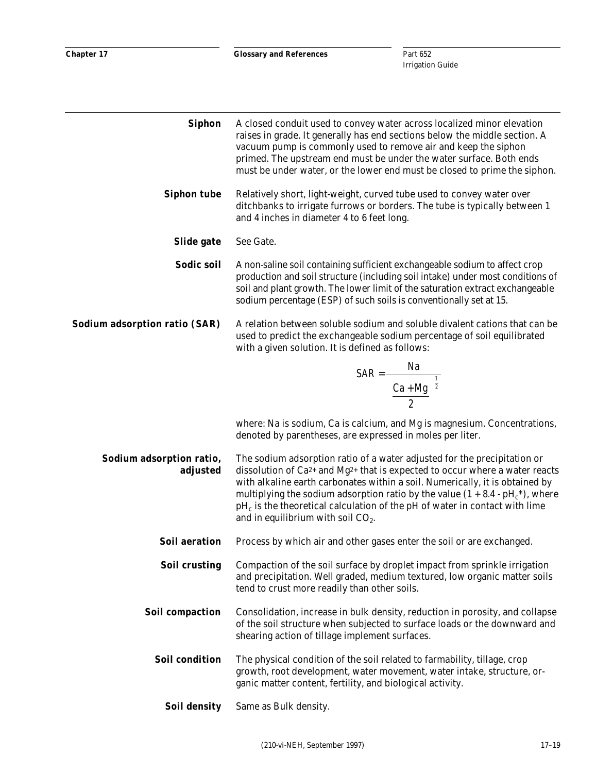| <b>Siphon</b>                        | A closed conduit used to convey water across localized minor elevation<br>raises in grade. It generally has end sections below the middle section. A<br>vacuum pump is commonly used to remove air and keep the siphon<br>primed. The upstream end must be under the water surface. Both ends<br>must be under water, or the lower end must be closed to prime the siphon.                                                                                                |
|--------------------------------------|---------------------------------------------------------------------------------------------------------------------------------------------------------------------------------------------------------------------------------------------------------------------------------------------------------------------------------------------------------------------------------------------------------------------------------------------------------------------------|
| <b>Siphon tube</b>                   | Relatively short, light-weight, curved tube used to convey water over<br>ditchbanks to irrigate furrows or borders. The tube is typically between 1<br>and 4 inches in diameter 4 to 6 feet long.                                                                                                                                                                                                                                                                         |
| Slide gate                           | See Gate.                                                                                                                                                                                                                                                                                                                                                                                                                                                                 |
| Sodic soil                           | A non-saline soil containing sufficient exchangeable sodium to affect crop<br>production and soil structure (including soil intake) under most conditions of<br>soil and plant growth. The lower limit of the saturation extract exchangeable<br>sodium percentage (ESP) of such soils is conventionally set at 15.                                                                                                                                                       |
| Sodium adsorption ratio (SAR)        | A relation between soluble sodium and soluble divalent cations that can be<br>used to predict the exchangeable sodium percentage of soil equilibrated<br>with a given solution. It is defined as follows:                                                                                                                                                                                                                                                                 |
|                                      |                                                                                                                                                                                                                                                                                                                                                                                                                                                                           |
|                                      | SAR = $\frac{Na}{\left(\frac{Ca + Mg}{2}\right)^{\frac{1}{2}}}$                                                                                                                                                                                                                                                                                                                                                                                                           |
|                                      | where: Na is sodium, Ca is calcium, and Mg is magnesium. Concentrations,<br>denoted by parentheses, are expressed in moles per liter.                                                                                                                                                                                                                                                                                                                                     |
| Sodium adsorption ratio,<br>adjusted | The sodium adsorption ratio of a water adjusted for the precipitation or<br>dissolution of $Ca^{2+}$ and Mg <sup>2+</sup> that is expected to occur where a water reacts<br>with alkaline earth carbonates within a soil. Numerically, it is obtained by<br>multiplying the sodium adsorption ratio by the value $(1 + 8.4 - pHc*)$ , where<br>$\rm{pH}_c$ is the theoretical calculation of the pH of water in contact with lime<br>and in equilibrium with soil $CO2$ . |
| <b>Soil aeration</b>                 | Process by which air and other gases enter the soil or are exchanged.                                                                                                                                                                                                                                                                                                                                                                                                     |
| <b>Soil crusting</b>                 | Compaction of the soil surface by droplet impact from sprinkle irrigation<br>and precipitation. Well graded, medium textured, low organic matter soils<br>tend to crust more readily than other soils.                                                                                                                                                                                                                                                                    |
| Soil compaction                      | Consolidation, increase in bulk density, reduction in porosity, and collapse<br>of the soil structure when subjected to surface loads or the downward and<br>shearing action of tillage implement surfaces.                                                                                                                                                                                                                                                               |
| <b>Soil condition</b>                | The physical condition of the soil related to farmability, tillage, crop<br>growth, root development, water movement, water intake, structure, or-<br>ganic matter content, fertility, and biological activity.                                                                                                                                                                                                                                                           |
| <b>Soil density</b>                  | Same as Bulk density.                                                                                                                                                                                                                                                                                                                                                                                                                                                     |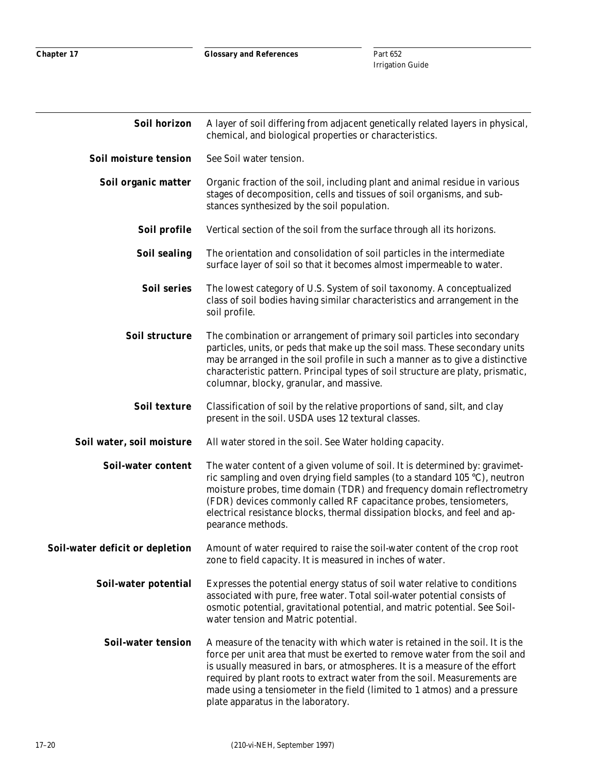| Soil horizon                    | A layer of soil differing from adjacent genetically related layers in physical,<br>chemical, and biological properties or characteristics.                                                                                                                                                                                                                                                                                               |
|---------------------------------|------------------------------------------------------------------------------------------------------------------------------------------------------------------------------------------------------------------------------------------------------------------------------------------------------------------------------------------------------------------------------------------------------------------------------------------|
| Soil moisture tension           | See Soil water tension.                                                                                                                                                                                                                                                                                                                                                                                                                  |
| Soil organic matter             | Organic fraction of the soil, including plant and animal residue in various<br>stages of decomposition, cells and tissues of soil organisms, and sub-<br>stances synthesized by the soil population.                                                                                                                                                                                                                                     |
| Soil profile                    | Vertical section of the soil from the surface through all its horizons.                                                                                                                                                                                                                                                                                                                                                                  |
| <b>Soil sealing</b>             | The orientation and consolidation of soil particles in the intermediate<br>surface layer of soil so that it becomes almost impermeable to water.                                                                                                                                                                                                                                                                                         |
| <b>Soil series</b>              | The lowest category of U.S. System of soil taxonomy. A conceptualized<br>class of soil bodies having similar characteristics and arrangement in the<br>soil profile.                                                                                                                                                                                                                                                                     |
| Soil structure                  | The combination or arrangement of primary soil particles into secondary<br>particles, units, or peds that make up the soil mass. These secondary units<br>may be arranged in the soil profile in such a manner as to give a distinctive<br>characteristic pattern. Principal types of soil structure are platy, prismatic,<br>columnar, blocky, granular, and massive.                                                                   |
| Soil texture                    | Classification of soil by the relative proportions of sand, silt, and clay<br>present in the soil. USDA uses 12 textural classes.                                                                                                                                                                                                                                                                                                        |
| Soil water, soil moisture       | All water stored in the soil. See Water holding capacity.                                                                                                                                                                                                                                                                                                                                                                                |
| Soil-water content              | The water content of a given volume of soil. It is determined by: gravimet-<br>ric sampling and oven drying field samples (to a standard $105 \degree C$ ), neutron<br>moisture probes, time domain (TDR) and frequency domain reflectrometry<br>(FDR) devices commonly called RF capacitance probes, tensiometers,<br>electrical resistance blocks, thermal dissipation blocks, and feel and ap-<br>pearance methods.                   |
| Soil-water deficit or depletion | Amount of water required to raise the soil-water content of the crop root<br>zone to field capacity. It is measured in inches of water.                                                                                                                                                                                                                                                                                                  |
| Soil-water potential            | Expresses the potential energy status of soil water relative to conditions<br>associated with pure, free water. Total soil-water potential consists of<br>osmotic potential, gravitational potential, and matric potential. See Soil-<br>water tension and Matric potential.                                                                                                                                                             |
| <b>Soil-water tension</b>       | A measure of the tenacity with which water is retained in the soil. It is the<br>force per unit area that must be exerted to remove water from the soil and<br>is usually measured in bars, or atmospheres. It is a measure of the effort<br>required by plant roots to extract water from the soil. Measurements are<br>made using a tensiometer in the field (limited to 1 atmos) and a pressure<br>plate apparatus in the laboratory. |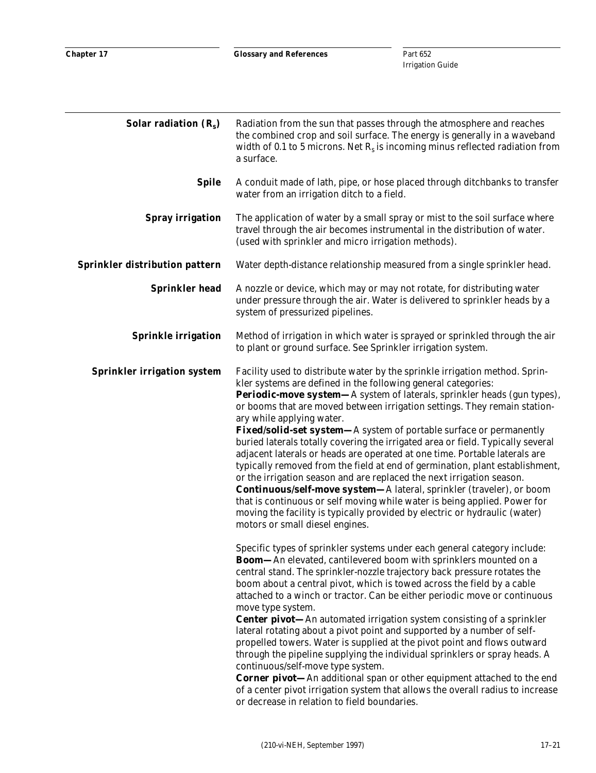| Solar radiation $(R_s)$            | Radiation from the sun that passes through the atmosphere and reaches<br>the combined crop and soil surface. The energy is generally in a waveband<br>width of 0.1 to 5 microns. Net $R_s$ is incoming minus reflected radiation from<br>a surface.                                                                                                                                                                                                                                                                                                                                                                                                                                                                                                                                                                                                                                                                                                                                                                            |
|------------------------------------|--------------------------------------------------------------------------------------------------------------------------------------------------------------------------------------------------------------------------------------------------------------------------------------------------------------------------------------------------------------------------------------------------------------------------------------------------------------------------------------------------------------------------------------------------------------------------------------------------------------------------------------------------------------------------------------------------------------------------------------------------------------------------------------------------------------------------------------------------------------------------------------------------------------------------------------------------------------------------------------------------------------------------------|
| <b>Spile</b>                       | A conduit made of lath, pipe, or hose placed through ditchbanks to transfer<br>water from an irrigation ditch to a field.                                                                                                                                                                                                                                                                                                                                                                                                                                                                                                                                                                                                                                                                                                                                                                                                                                                                                                      |
| <b>Spray irrigation</b>            | The application of water by a small spray or mist to the soil surface where<br>travel through the air becomes instrumental in the distribution of water.<br>(used with sprinkler and micro irrigation methods).                                                                                                                                                                                                                                                                                                                                                                                                                                                                                                                                                                                                                                                                                                                                                                                                                |
| Sprinkler distribution pattern     | Water depth-distance relationship measured from a single sprinkler head.                                                                                                                                                                                                                                                                                                                                                                                                                                                                                                                                                                                                                                                                                                                                                                                                                                                                                                                                                       |
| <b>Sprinkler head</b>              | A nozzle or device, which may or may not rotate, for distributing water<br>under pressure through the air. Water is delivered to sprinkler heads by a<br>system of pressurized pipelines.                                                                                                                                                                                                                                                                                                                                                                                                                                                                                                                                                                                                                                                                                                                                                                                                                                      |
| <b>Sprinkle irrigation</b>         | Method of irrigation in which water is sprayed or sprinkled through the air<br>to plant or ground surface. See Sprinkler irrigation system.                                                                                                                                                                                                                                                                                                                                                                                                                                                                                                                                                                                                                                                                                                                                                                                                                                                                                    |
| <b>Sprinkler irrigation system</b> | Facility used to distribute water by the sprinkle irrigation method. Sprin-<br>kler systems are defined in the following general categories:<br><b>Periodic-move system—A</b> system of laterals, sprinkler heads (gun types),<br>or booms that are moved between irrigation settings. They remain station-<br>ary while applying water.<br><b>Fixed/solid-set system</b> —A system of portable surface or permanently<br>buried laterals totally covering the irrigated area or field. Typically several<br>adjacent laterals or heads are operated at one time. Portable laterals are<br>typically removed from the field at end of germination, plant establishment,<br>or the irrigation season and are replaced the next irrigation season.<br><b>Continuous/self-move system-</b> A lateral, sprinkler (traveler), or boom<br>that is continuous or self moving while water is being applied. Power for<br>moving the facility is typically provided by electric or hydraulic (water)<br>motors or small diesel engines. |
|                                    | Specific types of sprinkler systems under each general category include:<br><b>Boom</b> —An elevated, cantilevered boom with sprinklers mounted on a<br>central stand. The sprinkler-nozzle trajectory back pressure rotates the<br>boom about a central pivot, which is towed across the field by a cable<br>attached to a winch or tractor. Can be either periodic move or continuous<br>move type system.<br><b>Center pivot-</b> An automated irrigation system consisting of a sprinkler<br>lateral rotating about a pivot point and supported by a number of self-<br>propelled towers. Water is supplied at the pivot point and flows outward<br>through the pipeline supplying the individual sprinklers or spray heads. A<br>continuous/self-move type system.<br><b>Corner pivot</b> —An additional span or other equipment attached to the end<br>of a center pivot irrigation system that allows the overall radius to increase<br>or decrease in relation to field boundaries.                                    |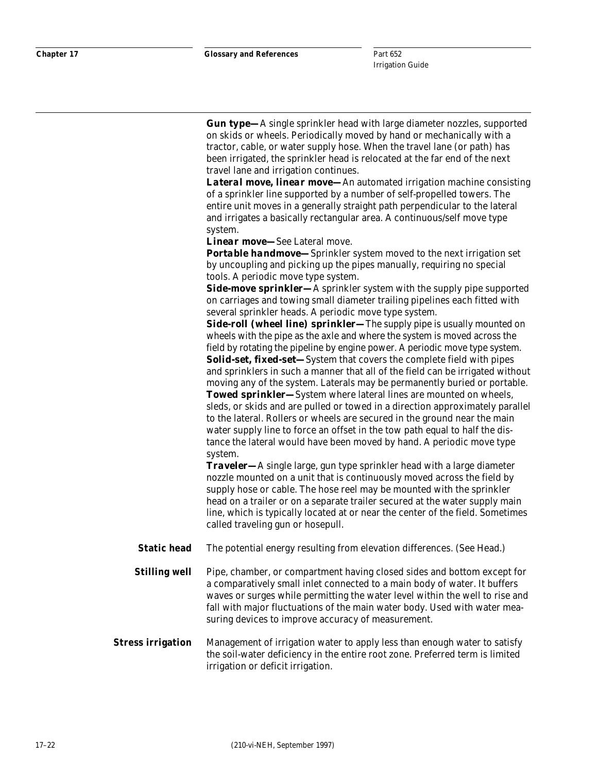*Gun type—*A single sprinkler head with large diameter nozzles, supported on skids or wheels. Periodically moved by hand or mechanically with a tractor, cable, or water supply hose. When the travel lane (or path) has been irrigated, the sprinkler head is relocated at the far end of the next travel lane and irrigation continues.

*Lateral move, linear move—*An automated irrigation machine consisting of a sprinkler line supported by a number of self-propelled towers. The entire unit moves in a generally straight path perpendicular to the lateral and irrigates a basically rectangular area. A continuous/self move type system.

*Linear move—*See Lateral move.

**Portable handmove**—Sprinkler system moved to the next irrigation set by uncoupling and picking up the pipes manually, requiring no special tools. A periodic move type system.

**Side-move sprinkler—**A sprinkler system with the supply pipe supported on carriages and towing small diameter trailing pipelines each fitted with several sprinkler heads. A periodic move type system.

**Side-roll (wheel line) sprinkler**—The supply pipe is usually mounted on wheels with the pipe as the axle and where the system is moved across the field by rotating the pipeline by engine power. A periodic move type system. *Solid-set, fixed-set—*System that covers the complete field with pipes and sprinklers in such a manner that all of the field can be irrigated without moving any of the system. Laterals may be permanently buried or portable. *Towed sprinkler—*System where lateral lines are mounted on wheels, sleds, or skids and are pulled or towed in a direction approximately parallel to the lateral. Rollers or wheels are secured in the ground near the main water supply line to force an offset in the tow path equal to half the distance the lateral would have been moved by hand. A periodic move type system.

*Traveler—*A single large, gun type sprinkler head with a large diameter nozzle mounted on a unit that is continuously moved across the field by supply hose or cable. The hose reel may be mounted with the sprinkler head on a trailer or on a separate trailer secured at the water supply main line, which is typically located at or near the center of the field. Sometimes called traveling gun or hosepull.

**Static head** The potential energy resulting from elevation differences. (See Head.)

**Stilling well** Pipe, chamber, or compartment having closed sides and bottom except for a comparatively small inlet connected to a main body of water. It buffers waves or surges while permitting the water level within the well to rise and fall with major fluctuations of the main water body. Used with water measuring devices to improve accuracy of measurement.

**Stress irrigation** Management of irrigation water to apply less than enough water to satisfy the soil-water deficiency in the entire root zone. Preferred term is limited irrigation or deficit irrigation.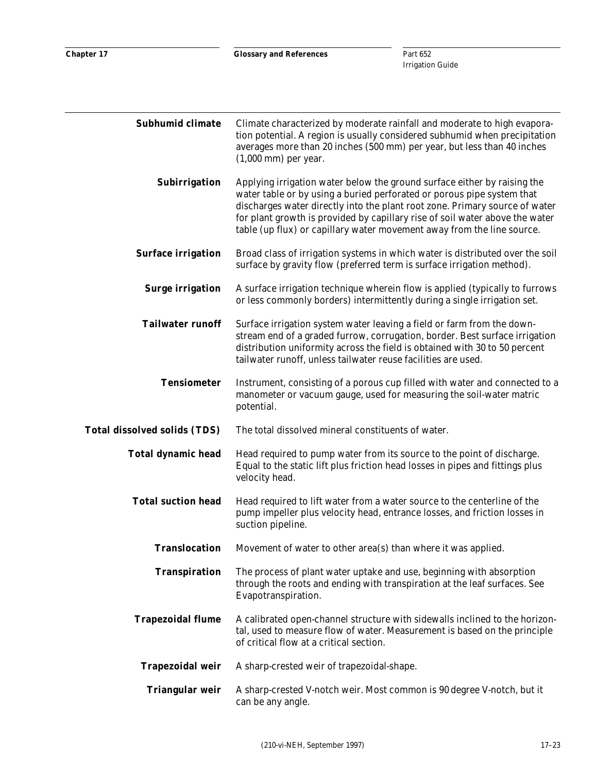| Subhumid climate                    | Climate characterized by moderate rainfall and moderate to high evapora-<br>tion potential. A region is usually considered subhumid when precipitation<br>averages more than 20 inches (500 mm) per year, but less than 40 inches<br>$(1,000$ mm) per year.                                                                                                                                 |
|-------------------------------------|---------------------------------------------------------------------------------------------------------------------------------------------------------------------------------------------------------------------------------------------------------------------------------------------------------------------------------------------------------------------------------------------|
| Subirrigation                       | Applying irrigation water below the ground surface either by raising the<br>water table or by using a buried perforated or porous pipe system that<br>discharges water directly into the plant root zone. Primary source of water<br>for plant growth is provided by capillary rise of soil water above the water<br>table (up flux) or capillary water movement away from the line source. |
| <b>Surface irrigation</b>           | Broad class of irrigation systems in which water is distributed over the soil<br>surface by gravity flow (preferred term is surface irrigation method).                                                                                                                                                                                                                                     |
| <b>Surge irrigation</b>             | A surface irrigation technique wherein flow is applied (typically to furrows<br>or less commonly borders) intermittently during a single irrigation set.                                                                                                                                                                                                                                    |
| <b>Tailwater runoff</b>             | Surface irrigation system water leaving a field or farm from the down-<br>stream end of a graded furrow, corrugation, border. Best surface irrigation<br>distribution uniformity across the field is obtained with 30 to 50 percent<br>tailwater runoff, unless tailwater reuse facilities are used.                                                                                        |
| <b>Tensiometer</b>                  | Instrument, consisting of a porous cup filled with water and connected to a<br>manometer or vacuum gauge, used for measuring the soil-water matric<br>potential.                                                                                                                                                                                                                            |
| <b>Total dissolved solids (TDS)</b> | The total dissolved mineral constituents of water.                                                                                                                                                                                                                                                                                                                                          |
| <b>Total dynamic head</b>           | Head required to pump water from its source to the point of discharge.<br>Equal to the static lift plus friction head losses in pipes and fittings plus<br>velocity head.                                                                                                                                                                                                                   |
| <b>Total suction head</b>           | Head required to lift water from a water source to the centerline of the<br>pump impeller plus velocity head, entrance losses, and friction losses in<br>suction pipeline.                                                                                                                                                                                                                  |
| <b>Translocation</b>                | Movement of water to other area(s) than where it was applied.                                                                                                                                                                                                                                                                                                                               |
| <b>Transpiration</b>                | The process of plant water uptake and use, beginning with absorption<br>through the roots and ending with transpiration at the leaf surfaces. See<br>Evapotranspiration.                                                                                                                                                                                                                    |
| <b>Trapezoidal flume</b>            | A calibrated open-channel structure with sidewalls inclined to the horizon-<br>tal, used to measure flow of water. Measurement is based on the principle<br>of critical flow at a critical section.                                                                                                                                                                                         |
| <b>Trapezoidal weir</b>             | A sharp-crested weir of trapezoidal-shape.                                                                                                                                                                                                                                                                                                                                                  |
| <b>Triangular weir</b>              | A sharp-crested V-notch weir. Most common is 90 degree V-notch, but it<br>can be any angle.                                                                                                                                                                                                                                                                                                 |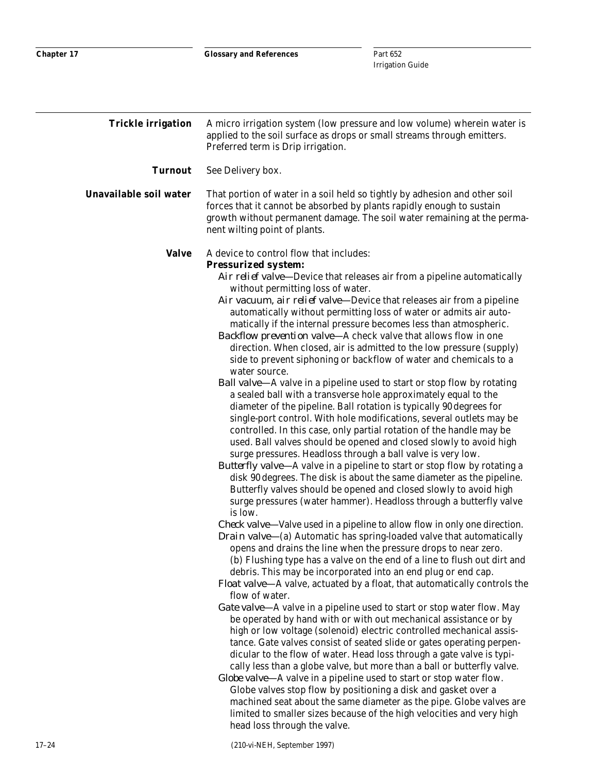| <b>Trickle irrigation</b> | A micro irrigation system (low pressure and low volume) wherein water is<br>applied to the soil surface as drops or small streams through emitters.<br>Preferred term is Drip irrigation.                                                                                                                                                                                                                                                                                                                                                                                                                                                                                                                                                                                                                                                                                                                                                                                                                                                                                                                                                                                                                                                                                                                                                                                                                                                    |
|---------------------------|----------------------------------------------------------------------------------------------------------------------------------------------------------------------------------------------------------------------------------------------------------------------------------------------------------------------------------------------------------------------------------------------------------------------------------------------------------------------------------------------------------------------------------------------------------------------------------------------------------------------------------------------------------------------------------------------------------------------------------------------------------------------------------------------------------------------------------------------------------------------------------------------------------------------------------------------------------------------------------------------------------------------------------------------------------------------------------------------------------------------------------------------------------------------------------------------------------------------------------------------------------------------------------------------------------------------------------------------------------------------------------------------------------------------------------------------|
| <b>Turnout</b>            | See Delivery box.                                                                                                                                                                                                                                                                                                                                                                                                                                                                                                                                                                                                                                                                                                                                                                                                                                                                                                                                                                                                                                                                                                                                                                                                                                                                                                                                                                                                                            |
| Unavailable soil water    | That portion of water in a soil held so tightly by adhesion and other soil<br>forces that it cannot be absorbed by plants rapidly enough to sustain<br>growth without permanent damage. The soil water remaining at the perma-<br>nent wilting point of plants.                                                                                                                                                                                                                                                                                                                                                                                                                                                                                                                                                                                                                                                                                                                                                                                                                                                                                                                                                                                                                                                                                                                                                                              |
| <b>Valve</b>              | A device to control flow that includes:                                                                                                                                                                                                                                                                                                                                                                                                                                                                                                                                                                                                                                                                                                                                                                                                                                                                                                                                                                                                                                                                                                                                                                                                                                                                                                                                                                                                      |
|                           | <b>Pressurized system:</b><br>Air relief valve—Device that releases air from a pipeline automatically<br>without permitting loss of water.<br>Air vacuum, air relief valve—Device that releases air from a pipeline<br>automatically without permitting loss of water or admits air auto-<br>matically if the internal pressure becomes less than atmospheric.<br><i>Backflow prevention valve</i> —A check valve that allows flow in one<br>direction. When closed, air is admitted to the low pressure (supply)<br>side to prevent siphoning or backflow of water and chemicals to a<br>water source.<br><b>Ball valve-A</b> valve in a pipeline used to start or stop flow by rotating<br>a sealed ball with a transverse hole approximately equal to the<br>diameter of the pipeline. Ball rotation is typically 90 degrees for<br>single-port control. With hole modifications, several outlets may be<br>controlled. In this case, only partial rotation of the handle may be<br>used. Ball valves should be opened and closed slowly to avoid high<br>surge pressures. Headloss through a ball valve is very low.<br><i>Butterfly valve</i> —A valve in a pipeline to start or stop flow by rotating a<br>disk 90 degrees. The disk is about the same diameter as the pipeline.<br>Butterfly valves should be opened and closed slowly to avoid high<br>surge pressures (water hammer). Headloss through a butterfly valve<br>is low. |
|                           | <i>Check valve</i> —Valve used in a pipeline to allow flow in only one direction.<br><i>Drain valve</i> —(a) Automatic has spring-loaded valve that automatically<br>opens and drains the line when the pressure drops to near zero.<br>(b) Flushing type has a valve on the end of a line to flush out dirt and<br>debris. This may be incorporated into an end plug or end cap.<br><i>Float valve</i> —A valve, actuated by a float, that automatically controls the<br>flow of water.<br><i>Gate valve</i> —A valve in a pipeline used to start or stop water flow. May<br>be operated by hand with or with out mechanical assistance or by<br>high or low voltage (solenoid) electric controlled mechanical assis-<br>tance. Gate valves consist of seated slide or gates operating perpen-<br>dicular to the flow of water. Head loss through a gate valve is typi-<br>cally less than a globe valve, but more than a ball or butterfly valve.<br><i>Globe valve</i> —A valve in a pipeline used to start or stop water flow.<br>Globe valves stop flow by positioning a disk and gasket over a<br>machined seat about the same diameter as the pipe. Globe valves are<br>limited to smaller sizes because of the high velocities and very high<br>head loss through the valve.                                                                                                                                                         |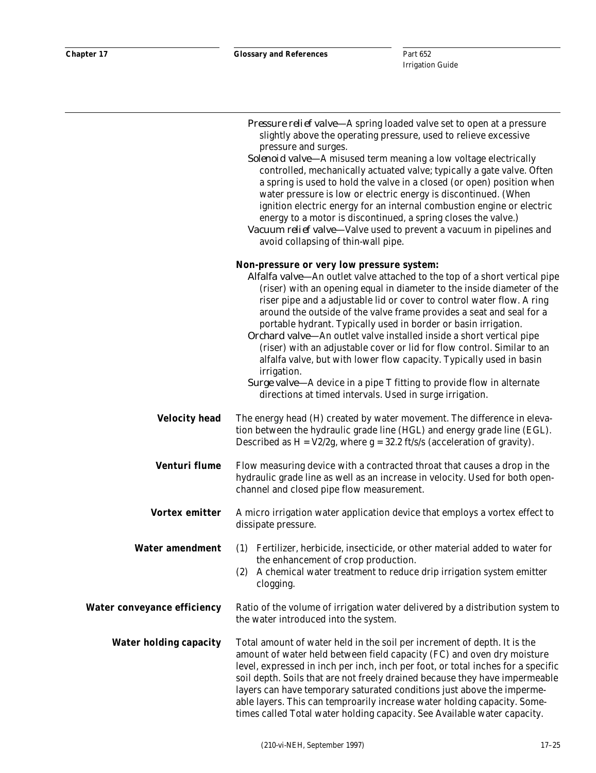|                                    | Pressure relief valve-A spring loaded valve set to open at a pressure<br>slightly above the operating pressure, used to relieve excessive<br>pressure and surges.<br>Solenoid valve-A misused term meaning a low voltage electrically<br>controlled, mechanically actuated valve; typically a gate valve. Often<br>a spring is used to hold the valve in a closed (or open) position when<br>water pressure is low or electric energy is discontinued. (When<br>ignition electric energy for an internal combustion engine or electric<br>energy to a motor is discontinued, a spring closes the valve.)<br>Vacuum relief valve-Valve used to prevent a vacuum in pipelines and<br>avoid collapsing of thin-wall pipe.                                                                                 |
|------------------------------------|--------------------------------------------------------------------------------------------------------------------------------------------------------------------------------------------------------------------------------------------------------------------------------------------------------------------------------------------------------------------------------------------------------------------------------------------------------------------------------------------------------------------------------------------------------------------------------------------------------------------------------------------------------------------------------------------------------------------------------------------------------------------------------------------------------|
|                                    | Non-pressure or very low pressure system:<br>Alfalfa valve-An outlet valve attached to the top of a short vertical pipe<br>(riser) with an opening equal in diameter to the inside diameter of the<br>riser pipe and a adjustable lid or cover to control water flow. A ring<br>around the outside of the valve frame provides a seat and seal for a<br>portable hydrant. Typically used in border or basin irrigation.<br>Orchard valve-An outlet valve installed inside a short vertical pipe<br>(riser) with an adjustable cover or lid for flow control. Similar to an<br>alfalfa valve, but with lower flow capacity. Typically used in basin<br>irrigation.<br>Surge valve-A device in a pipe T fitting to provide flow in alternate<br>directions at timed intervals. Used in surge irrigation. |
| <b>Velocity head</b>               | The energy head (H) created by water movement. The difference in eleva-<br>tion between the hydraulic grade line (HGL) and energy grade line (EGL).<br>Described as $H = V2/2g$ , where $g = 32.2$ ft/s/s (acceleration of gravity).                                                                                                                                                                                                                                                                                                                                                                                                                                                                                                                                                                   |
| <b>Venturi flume</b>               | Flow measuring device with a contracted throat that causes a drop in the<br>hydraulic grade line as well as an increase in velocity. Used for both open-<br>channel and closed pipe flow measurement.                                                                                                                                                                                                                                                                                                                                                                                                                                                                                                                                                                                                  |
| <b>Vortex emitter</b>              | A micro irrigation water application device that employs a vortex effect to<br>dissipate pressure.                                                                                                                                                                                                                                                                                                                                                                                                                                                                                                                                                                                                                                                                                                     |
| <b>Water amendment</b>             | (1) Fertilizer, herbicide, insecticide, or other material added to water for<br>the enhancement of crop production.<br>A chemical water treatment to reduce drip irrigation system emitter<br>(2)<br>clogging.                                                                                                                                                                                                                                                                                                                                                                                                                                                                                                                                                                                         |
| <b>Water conveyance efficiency</b> | Ratio of the volume of irrigation water delivered by a distribution system to<br>the water introduced into the system.                                                                                                                                                                                                                                                                                                                                                                                                                                                                                                                                                                                                                                                                                 |
| <b>Water holding capacity</b>      | Total amount of water held in the soil per increment of depth. It is the<br>amount of water held between field capacity (FC) and oven dry moisture<br>level, expressed in inch per inch, inch per foot, or total inches for a specific<br>soil depth. Soils that are not freely drained because they have impermeable<br>layers can have temporary saturated conditions just above the imperme-<br>able layers. This can temproarily increase water holding capacity. Some-<br>times called Total water holding capacity. See Available water capacity.                                                                                                                                                                                                                                                |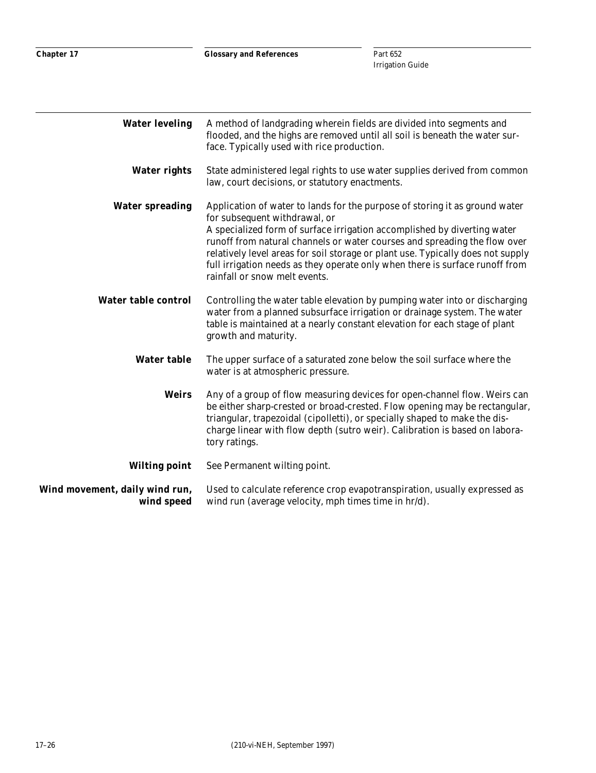| <b>Water leveling</b>                        | A method of landgrading wherein fields are divided into segments and<br>flooded, and the highs are removed until all soil is beneath the water sur-<br>face. Typically used with rice production.                                                                                                                                                                                                                                                                         |
|----------------------------------------------|---------------------------------------------------------------------------------------------------------------------------------------------------------------------------------------------------------------------------------------------------------------------------------------------------------------------------------------------------------------------------------------------------------------------------------------------------------------------------|
| <b>Water rights</b>                          | State administered legal rights to use water supplies derived from common<br>law, court decisions, or statutory enactments.                                                                                                                                                                                                                                                                                                                                               |
| <b>Water spreading</b>                       | Application of water to lands for the purpose of storing it as ground water<br>for subsequent withdrawal, or<br>A specialized form of surface irrigation accomplished by diverting water<br>runoff from natural channels or water courses and spreading the flow over<br>relatively level areas for soil storage or plant use. Typically does not supply<br>full irrigation needs as they operate only when there is surface runoff from<br>rainfall or snow melt events. |
| <b>Water table control</b>                   | Controlling the water table elevation by pumping water into or discharging<br>water from a planned subsurface irrigation or drainage system. The water<br>table is maintained at a nearly constant elevation for each stage of plant<br>growth and maturity.                                                                                                                                                                                                              |
| <b>Water table</b>                           | The upper surface of a saturated zone below the soil surface where the<br>water is at atmospheric pressure.                                                                                                                                                                                                                                                                                                                                                               |
| <b>Weirs</b>                                 | Any of a group of flow measuring devices for open-channel flow. Weirs can<br>be either sharp-crested or broad-crested. Flow opening may be rectangular,<br>triangular, trapezoidal (cipolletti), or specially shaped to make the dis-<br>charge linear with flow depth (sutro weir). Calibration is based on labora-<br>tory ratings.                                                                                                                                     |
| <b>Wilting point</b>                         | See Permanent wilting point.                                                                                                                                                                                                                                                                                                                                                                                                                                              |
| Wind movement, daily wind run,<br>wind speed | Used to calculate reference crop evapotranspiration, usually expressed as<br>wind run (average velocity, mph times time in hr/d).                                                                                                                                                                                                                                                                                                                                         |